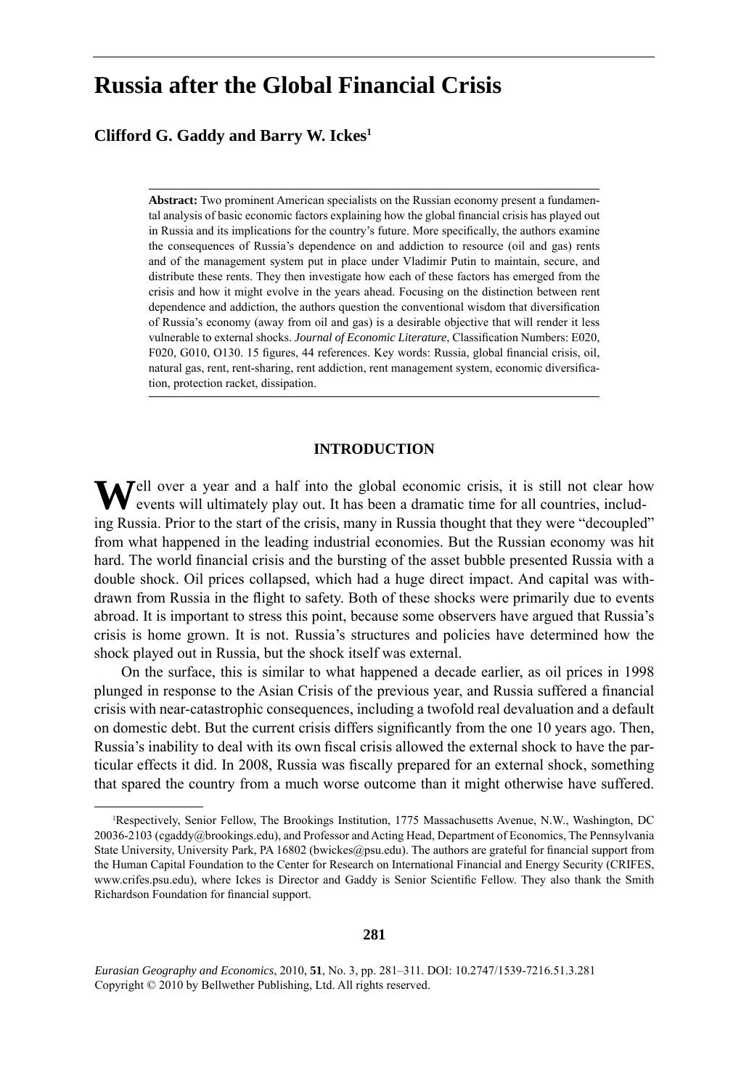# **Russia after the Global Financial Crisis**

**Clifford G. Gaddy and Barry W. Ickes1**

**Abstract:** Two prominent American specialists on the Russian economy present a fundamental analysis of basic economic factors explaining how the global financial crisis has played out in Russia and its implications for the country's future. More specifically, the authors examine the consequences of Russia's dependence on and addiction to resource (oil and gas) rents and of the management system put in place under Vladimir Putin to maintain, secure, and distribute these rents. They then investigate how each of these factors has emerged from the crisis and how it might evolve in the years ahead. Focusing on the distinction between rent dependence and addiction, the authors question the conventional wisdom that diversification of Russia's economy (away from oil and gas) is a desirable objective that will render it less vulnerable to external shocks. *Journal of Economic Literature*, Classification Numbers: E020, F020, G010, O130. 15 figures, 44 references. Key words: Russia, global financial crisis, oil, natural gas, rent, rent-sharing, rent addiction, rent management system, economic diversification, protection racket, dissipation.

## **INTRODUCTION**

Well over a year and a half into the global economic crisis, it is still not clear how events will ultimately play out. It has been a dramatic time for all countries, including Russia. Prior to the start of the crisis, many in Russia thought that they were "decoupled" from what happened in the leading industrial economies. But the Russian economy was hit hard. The world financial crisis and the bursting of the asset bubble presented Russia with a double shock. Oil prices collapsed, which had a huge direct impact. And capital was withdrawn from Russia in the flight to safety. Both of these shocks were primarily due to events abroad. It is important to stress this point, because some observers have argued that Russia's crisis is home grown. It is not. Russia's structures and policies have determined how the shock played out in Russia, but the shock itself was external.

On the surface, this is similar to what happened a decade earlier, as oil prices in 1998 plunged in response to the Asian Crisis of the previous year, and Russia suffered a financial crisis with near-catastrophic consequences, including a twofold real devaluation and a default on domestic debt. But the current crisis differs significantly from the one 10 years ago. Then, Russia's inability to deal with its own fiscal crisis allowed the external shock to have the particular effects it did. In 2008, Russia was fiscally prepared for an external shock, something that spared the country from a much worse outcome than it might otherwise have suffered.

Respectively, Senior Fellow, The Brookings Institution, 1775 Massachusetts Avenue, N.W., Washington, DC 20036-2103 (cgaddy@brookings.edu), and Professor and Acting Head, Department of Economics, The Pennsylvania State University, University Park, PA 16802 (bwickes@psu.edu). The authors are grateful for financial support from the Human Capital Foundation to the Center for Research on International Financial and Energy Security (CRIFES, www.crifes.psu.edu), where Ickes is Director and Gaddy is Senior Scientific Fellow. They also thank the Smith Richardson Foundation for financial support.

*Eurasian Geography and Economics*, 2010, **51**, No. 3, pp. 281–311. DOI: 10.2747/1539-7216.51.3.281 Copyright © 2010 by Bellwether Publishing, Ltd. All rights reserved.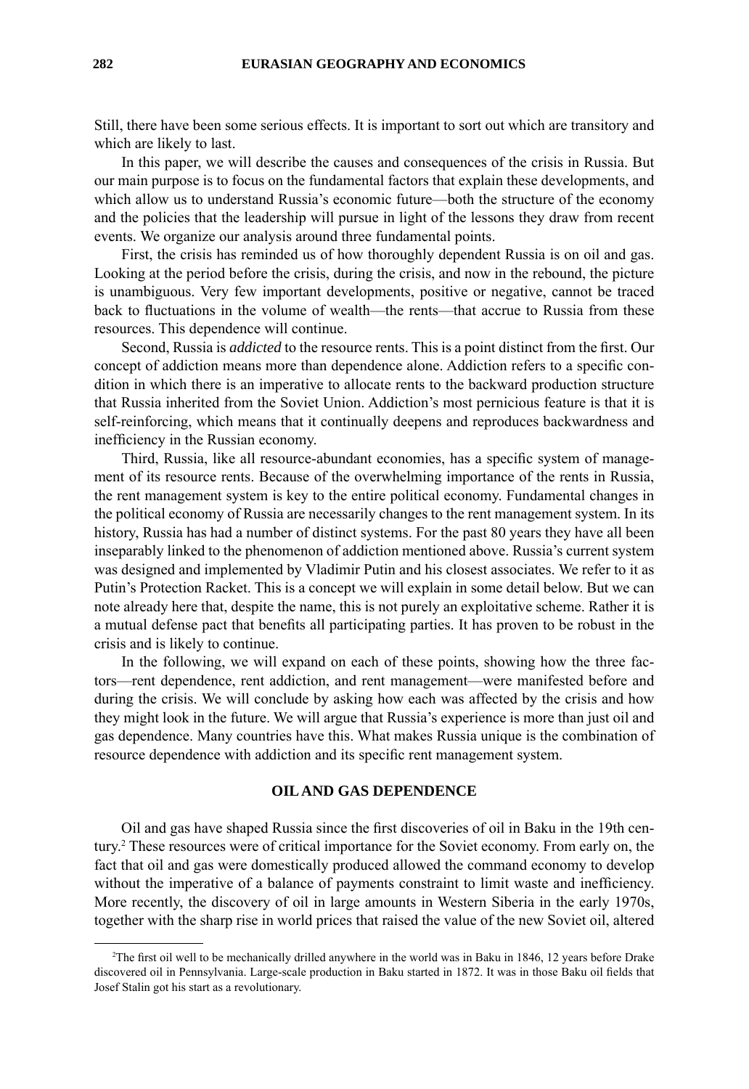Still, there have been some serious effects. It is important to sort out which are transitory and which are likely to last.

In this paper, we will describe the causes and consequences of the crisis in Russia. But our main purpose is to focus on the fundamental factors that explain these developments, and which allow us to understand Russia's economic future—both the structure of the economy and the policies that the leadership will pursue in light of the lessons they draw from recent events. We organize our analysis around three fundamental points.

First, the crisis has reminded us of how thoroughly dependent Russia is on oil and gas. Looking at the period before the crisis, during the crisis, and now in the rebound, the picture is unambiguous. Very few important developments, positive or negative, cannot be traced back to fluctuations in the volume of wealth—the rents—that accrue to Russia from these resources. This dependence will continue.

Second, Russia is *addicted* to the resource rents. This is a point distinct from the first. Our concept of addiction means more than dependence alone. Addiction refers to a specific condition in which there is an imperative to allocate rents to the backward production structure that Russia inherited from the Soviet Union. Addiction's most pernicious feature is that it is self-reinforcing, which means that it continually deepens and reproduces backwardness and inefficiency in the Russian economy.

Third, Russia, like all resource-abundant economies, has a specific system of management of its resource rents. Because of the overwhelming importance of the rents in Russia, the rent management system is key to the entire political economy. Fundamental changes in the political economy of Russia are necessarily changes to the rent management system. In its history, Russia has had a number of distinct systems. For the past 80 years they have all been inseparably linked to the phenomenon of addiction mentioned above. Russia's current system was designed and implemented by Vladimir Putin and his closest associates. We refer to it as Putin's Protection Racket. This is a concept we will explain in some detail below. But we can note already here that, despite the name, this is not purely an exploitative scheme. Rather it is a mutual defense pact that benefits all participating parties. It has proven to be robust in the crisis and is likely to continue.

In the following, we will expand on each of these points, showing how the three factors—rent dependence, rent addiction, and rent management—were manifested before and during the crisis. We will conclude by asking how each was affected by the crisis and how they might look in the future. We will argue that Russia's experience is more than just oil and gas dependence. Many countries have this. What makes Russia unique is the combination of resource dependence with addiction and its specific rent management system.

## **OIL AND GAS DEPENDENCE**

Oil and gas have shaped Russia since the first discoveries of oil in Baku in the 19th century.2 These resources were of critical importance for the Soviet economy. From early on, the fact that oil and gas were domestically produced allowed the command economy to develop without the imperative of a balance of payments constraint to limit waste and inefficiency. More recently, the discovery of oil in large amounts in Western Siberia in the early 1970s, together with the sharp rise in world prices that raised the value of the new Soviet oil, altered

<sup>2</sup> The first oil well to be mechanically drilled anywhere in the world was in Baku in 1846, 12 years before Drake discovered oil in Pennsylvania. Large-scale production in Baku started in 1872. It was in those Baku oil fields that Josef Stalin got his start as a revolutionary.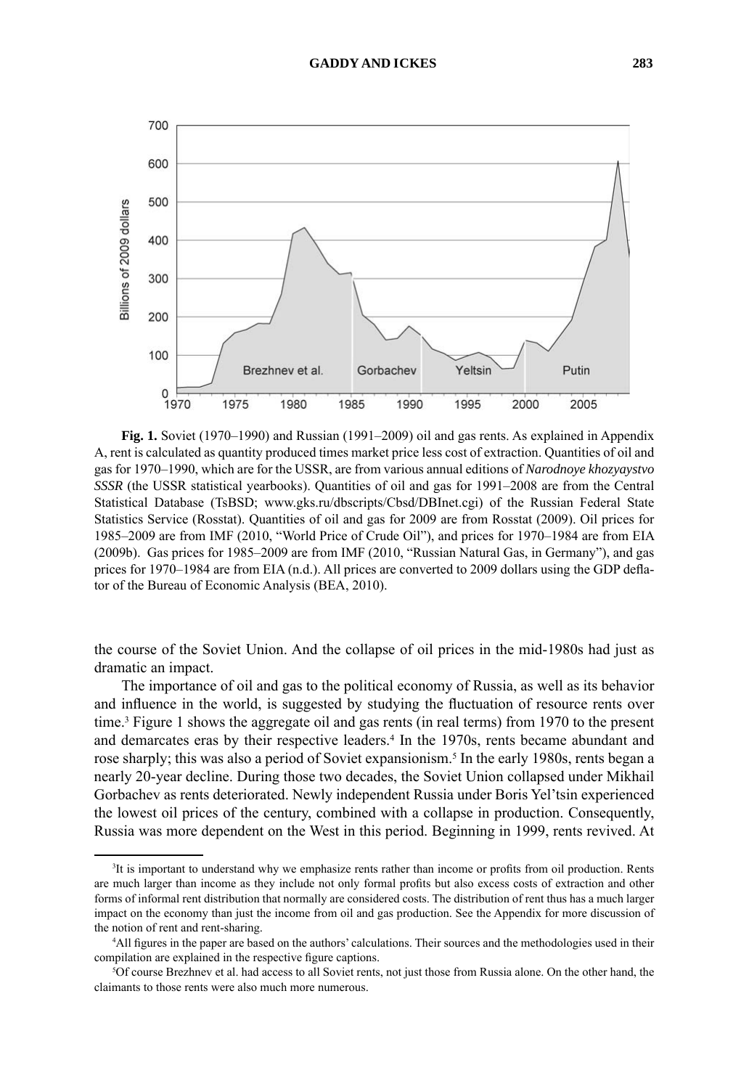

**Fig. 1.** Soviet (1970–1990) and Russian (1991–2009) oil and gas rents. As explained in Appendix A, rent is calculated as quantity produced times market price less cost of extraction. Quantities of oil and gas for 1970–1990, which are for the USSR, are from various annual editions of *Narodnoye khozyaystvo SSSR* (the USSR statistical yearbooks). Quantities of oil and gas for 1991–2008 are from the Central Statistical Database (TsBSD; www.gks.ru/dbscripts/Cbsd/DBInet.cgi) of the Russian Federal State Statistics Service (Rosstat). Quantities of oil and gas for 2009 are from Rosstat (2009). Oil prices for 1985–2009 are from IMF (2010, "World Price of Crude Oil"), and prices for 1970–1984 are from EIA (2009b). Gas prices for 1985–2009 are from IMF (2010, "Russian Natural Gas, in Germany"), and gas prices for 1970–1984 are from EIA (n.d.). All prices are converted to 2009 dollars using the GDP deflator of the Bureau of Economic Analysis (BEA, 2010).

the course of the Soviet Union. And the collapse of oil prices in the mid-1980s had just as dramatic an impact.

The importance of oil and gas to the political economy of Russia, as well as its behavior and influence in the world, is suggested by studying the fluctuation of resource rents over time.3 Figure 1 shows the aggregate oil and gas rents (in real terms) from 1970 to the present and demarcates eras by their respective leaders.4 In the 1970s, rents became abundant and rose sharply; this was also a period of Soviet expansionism.<sup>5</sup> In the early 1980s, rents began a nearly 20-year decline. During those two decades, the Soviet Union collapsed under Mikhail Gorbachev as rents deteriorated. Newly independent Russia under Boris Yel'tsin experienced the lowest oil prices of the century, combined with a collapse in production. Consequently, Russia was more dependent on the West in this period. Beginning in 1999, rents revived. At

<sup>3</sup> It is important to understand why we emphasize rents rather than income or profits from oil production. Rents are much larger than income as they include not only formal profits but also excess costs of extraction and other forms of informal rent distribution that normally are considered costs. The distribution of rent thus has a much larger impact on the economy than just the income from oil and gas production. See the Appendix for more discussion of the notion of rent and rent-sharing.

<sup>4</sup> All figures in the paper are based on the authors' calculations. Their sources and the methodologies used in their compilation are explained in the respective figure captions.

<sup>5</sup> Of course Brezhnev et al. had access to all Soviet rents, not just those from Russia alone. On the other hand, the claimants to those rents were also much more numerous.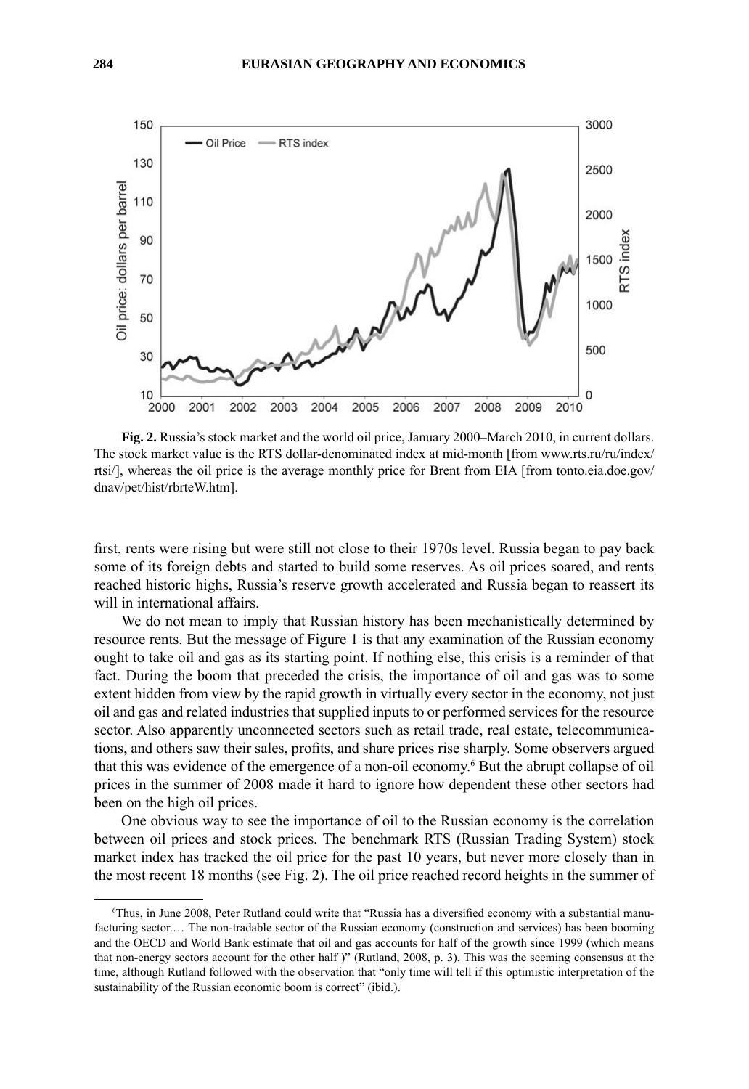

**Fig. 2.** Russia's stock market and the world oil price, January 2000–March 2010, in current dollars. The stock market value is the RTS dollar-denominated index at mid-month [from www.rts.ru/ru/index/ rtsi/], whereas the oil price is the average monthly price for Brent from EIA [from tonto.eia.doe.gov/ dnav/pet/hist/rbrteW.htm].

first, rents were rising but were still not close to their 1970s level. Russia began to pay back some of its foreign debts and started to build some reserves. As oil prices soared, and rents reached historic highs, Russia's reserve growth accelerated and Russia began to reassert its will in international affairs.

We do not mean to imply that Russian history has been mechanistically determined by resource rents. But the message of Figure 1 is that any examination of the Russian economy ought to take oil and gas as its starting point. If nothing else, this crisis is a reminder of that fact. During the boom that preceded the crisis, the importance of oil and gas was to some extent hidden from view by the rapid growth in virtually every sector in the economy, not just oil and gas and related industries that supplied inputs to or performed services for the resource sector. Also apparently unconnected sectors such as retail trade, real estate, telecommunications, and others saw their sales, profits, and share prices rise sharply. Some observers argued that this was evidence of the emergence of a non-oil economy.6 But the abrupt collapse of oil prices in the summer of 2008 made it hard to ignore how dependent these other sectors had been on the high oil prices.

One obvious way to see the importance of oil to the Russian economy is the correlation between oil prices and stock prices. The benchmark RTS (Russian Trading System) stock market index has tracked the oil price for the past 10 years, but never more closely than in the most recent 18 months (see Fig. 2). The oil price reached record heights in the summer of

<sup>6</sup> Thus, in June 2008, Peter Rutland could write that "Russia has a diversified economy with a substantial manufacturing sector.… The non-tradable sector of the Russian economy (construction and services) has been booming and the OECD and World Bank estimate that oil and gas accounts for half of the growth since 1999 (which means that non-energy sectors account for the other half )" (Rutland, 2008, p. 3). This was the seeming consensus at the time, although Rutland followed with the observation that "only time will tell if this optimistic interpretation of the sustainability of the Russian economic boom is correct" (ibid.).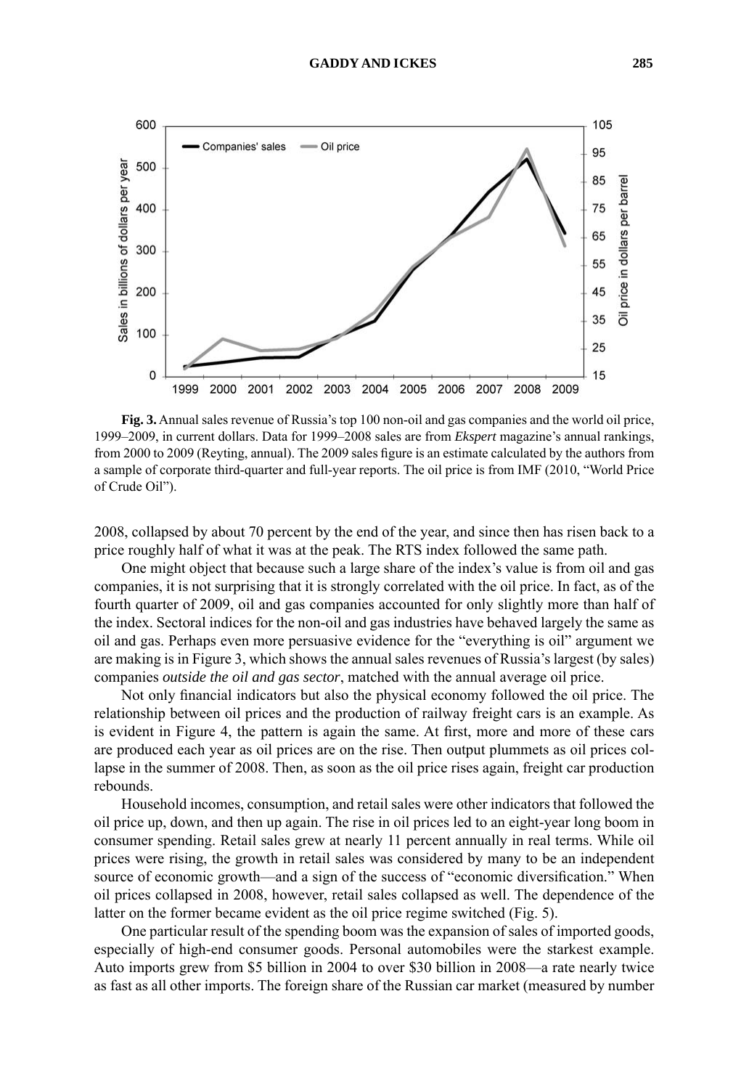

**Fig. 3.** Annual sales revenue of Russia's top 100 non-oil and gas companies and the world oil price, 1999–2009, in current dollars. Data for 1999–2008 sales are from *Ekspert* magazine's annual rankings, from 2000 to 2009 (Reyting, annual). The 2009 sales figure is an estimate calculated by the authors from a sample of corporate third-quarter and full-year reports. The oil price is from IMF (2010, "World Price of Crude Oil").

2008, collapsed by about 70 percent by the end of the year, and since then has risen back to a price roughly half of what it was at the peak. The RTS index followed the same path.

One might object that because such a large share of the index's value is from oil and gas companies, it is not surprising that it is strongly correlated with the oil price. In fact, as of the fourth quarter of 2009, oil and gas companies accounted for only slightly more than half of the index. Sectoral indices for the non-oil and gas industries have behaved largely the same as oil and gas. Perhaps even more persuasive evidence for the "everything is oil" argument we are making is in Figure 3, which shows the annual sales revenues of Russia's largest (by sales) companies *outside the oil and gas sector*, matched with the annual average oil price.

Not only financial indicators but also the physical economy followed the oil price. The relationship between oil prices and the production of railway freight cars is an example. As is evident in Figure 4, the pattern is again the same. At first, more and more of these cars are produced each year as oil prices are on the rise. Then output plummets as oil prices collapse in the summer of 2008. Then, as soon as the oil price rises again, freight car production rebounds.

Household incomes, consumption, and retail sales were other indicators that followed the oil price up, down, and then up again. The rise in oil prices led to an eight-year long boom in consumer spending. Retail sales grew at nearly 11 percent annually in real terms. While oil prices were rising, the growth in retail sales was considered by many to be an independent source of economic growth—and a sign of the success of "economic diversification." When oil prices collapsed in 2008, however, retail sales collapsed as well. The dependence of the latter on the former became evident as the oil price regime switched (Fig. 5).

One particular result of the spending boom was the expansion of sales of imported goods, especially of high-end consumer goods. Personal automobiles were the starkest example. Auto imports grew from \$5 billion in 2004 to over \$30 billion in 2008—a rate nearly twice as fast as all other imports. The foreign share of the Russian car market (measured by number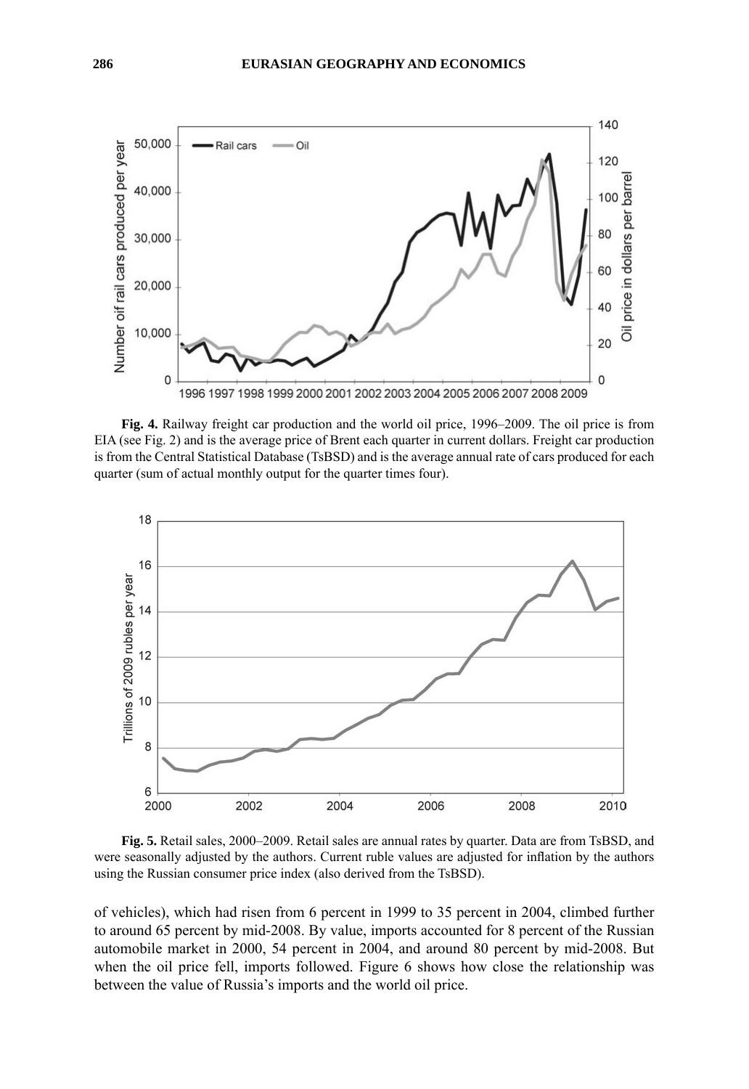

**Fig. 4.** Railway freight car production and the world oil price, 1996–2009. The oil price is from EIA (see Fig. 2) and is the average price of Brent each quarter in current dollars. Freight car production is from the Central Statistical Database (TsBSD) and is the average annual rate of cars produced for each quarter (sum of actual monthly output for the quarter times four).



**Fig. 5.** Retail sales, 2000–2009. Retail sales are annual rates by quarter. Data are from TsBSD, and were seasonally adjusted by the authors. Current ruble values are adjusted for inflation by the authors using the Russian consumer price index (also derived from the TsBSD).

of vehicles), which had risen from 6 percent in 1999 to 35 percent in 2004, climbed further to around 65 percent by mid-2008. By value, imports accounted for 8 percent of the Russian automobile market in 2000, 54 percent in 2004, and around 80 percent by mid-2008. But when the oil price fell, imports followed. Figure 6 shows how close the relationship was between the value of Russia's imports and the world oil price.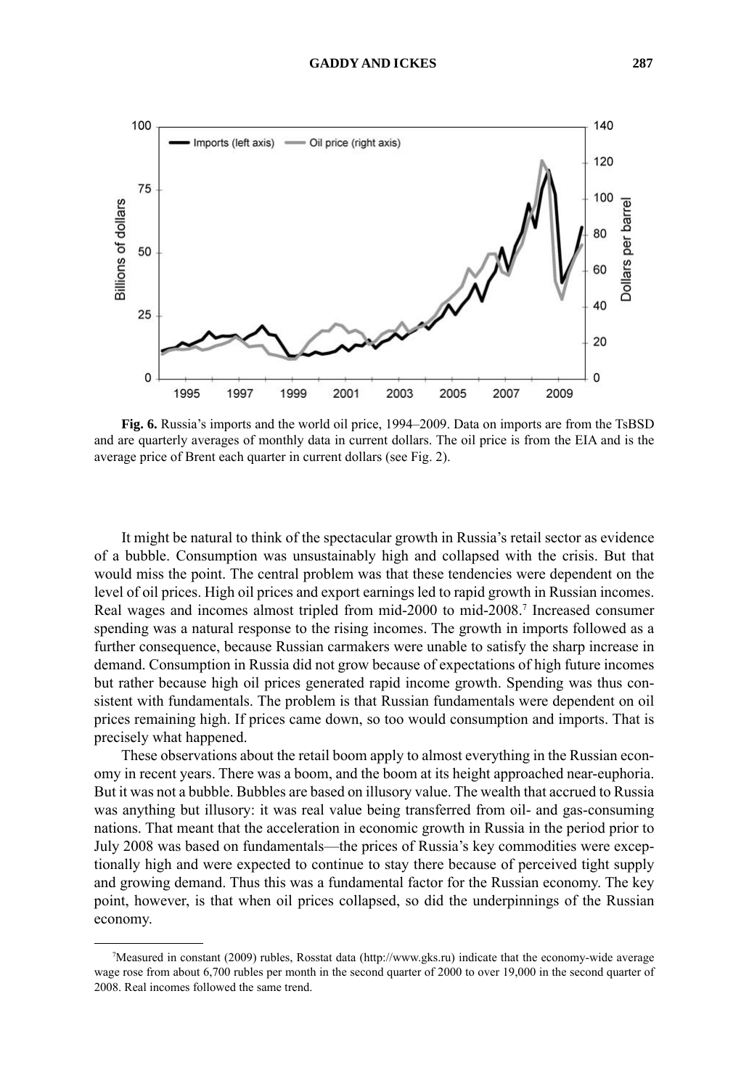

**Fig. 6.** Russia's imports and the world oil price, 1994–2009. Data on imports are from the TsBSD and are quarterly averages of monthly data in current dollars. The oil price is from the EIA and is the average price of Brent each quarter in current dollars (see Fig. 2).

It might be natural to think of the spectacular growth in Russia's retail sector as evidence of a bubble. Consumption was unsustainably high and collapsed with the crisis. But that would miss the point. The central problem was that these tendencies were dependent on the level of oil prices. High oil prices and export earnings led to rapid growth in Russian incomes. Real wages and incomes almost tripled from mid-2000 to mid-2008.7 Increased consumer spending was a natural response to the rising incomes. The growth in imports followed as a further consequence, because Russian carmakers were unable to satisfy the sharp increase in demand. Consumption in Russia did not grow because of expectations of high future incomes but rather because high oil prices generated rapid income growth. Spending was thus consistent with fundamentals. The problem is that Russian fundamentals were dependent on oil prices remaining high. If prices came down, so too would consumption and imports. That is precisely what happened.

These observations about the retail boom apply to almost everything in the Russian economy in recent years. There was a boom, and the boom at its height approached near-euphoria. But it was not a bubble. Bubbles are based on illusory value. The wealth that accrued to Russia was anything but illusory: it was real value being transferred from oil- and gas-consuming nations. That meant that the acceleration in economic growth in Russia in the period prior to July 2008 was based on fundamentals—the prices of Russia's key commodities were exceptionally high and were expected to continue to stay there because of perceived tight supply and growing demand. Thus this was a fundamental factor for the Russian economy. The key point, however, is that when oil prices collapsed, so did the underpinnings of the Russian economy.

<sup>7</sup> Measured in constant (2009) rubles, Rosstat data (http://www.gks.ru) indicate that the economy-wide average wage rose from about 6,700 rubles per month in the second quarter of 2000 to over 19,000 in the second quarter of 2008. Real incomes followed the same trend.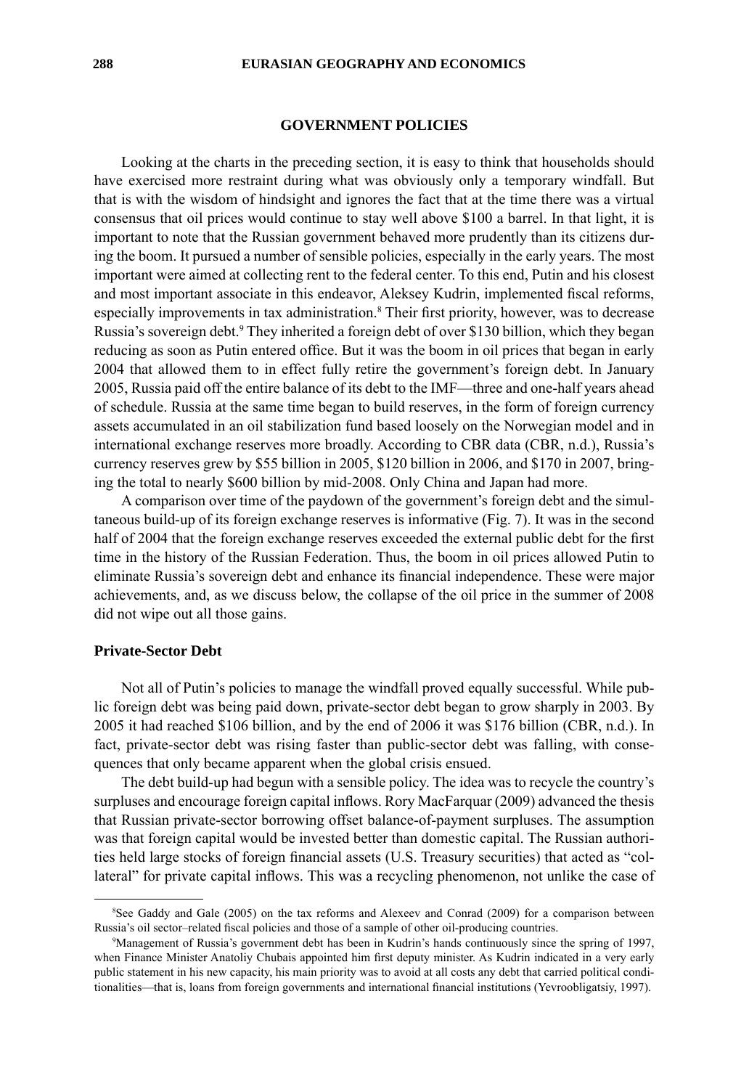#### **GOVERNMENT POLICIES**

Looking at the charts in the preceding section, it is easy to think that households should have exercised more restraint during what was obviously only a temporary windfall. But that is with the wisdom of hindsight and ignores the fact that at the time there was a virtual consensus that oil prices would continue to stay well above \$100 a barrel. In that light, it is important to note that the Russian government behaved more prudently than its citizens during the boom. It pursued a number of sensible policies, especially in the early years. The most important were aimed at collecting rent to the federal center. To this end, Putin and his closest and most important associate in this endeavor, Aleksey Kudrin, implemented fiscal reforms, especially improvements in tax administration.<sup>8</sup> Their first priority, however, was to decrease Russia's sovereign debt.<sup>9</sup> They inherited a foreign debt of over \$130 billion, which they began reducing as soon as Putin entered office. But it was the boom in oil prices that began in early 2004 that allowed them to in effect fully retire the government's foreign debt. In January 2005, Russia paid off the entire balance of its debt to the IMF—three and one-half years ahead of schedule. Russia at the same time began to build reserves, in the form of foreign currency assets accumulated in an oil stabilization fund based loosely on the Norwegian model and in international exchange reserves more broadly. According to CBR data (CBR, n.d.), Russia's currency reserves grew by \$55 billion in 2005, \$120 billion in 2006, and \$170 in 2007, bringing the total to nearly \$600 billion by mid-2008. Only China and Japan had more.

A comparison over time of the paydown of the government's foreign debt and the simultaneous build-up of its foreign exchange reserves is informative (Fig. 7). It was in the second half of 2004 that the foreign exchange reserves exceeded the external public debt for the first time in the history of the Russian Federation. Thus, the boom in oil prices allowed Putin to eliminate Russia's sovereign debt and enhance its financial independence. These were major achievements, and, as we discuss below, the collapse of the oil price in the summer of 2008 did not wipe out all those gains.

## **Private-Sector Debt**

Not all of Putin's policies to manage the windfall proved equally successful. While public foreign debt was being paid down, private-sector debt began to grow sharply in 2003. By 2005 it had reached \$106 billion, and by the end of 2006 it was \$176 billion (CBR, n.d.). In fact, private-sector debt was rising faster than public-sector debt was falling, with consequences that only became apparent when the global crisis ensued.

The debt build-up had begun with a sensible policy. The idea was to recycle the country's surpluses and encourage foreign capital inflows. Rory MacFarquar (2009) advanced the thesis that Russian private-sector borrowing offset balance-of-payment surpluses. The assumption was that foreign capital would be invested better than domestic capital. The Russian authorities held large stocks of foreign financial assets (U.S. Treasury securities) that acted as "collateral" for private capital inflows. This was a recycling phenomenon, not unlike the case of

<sup>8</sup> See Gaddy and Gale (2005) on the tax reforms and Alexeev and Conrad (2009) for a comparison between Russia's oil sector–related fiscal policies and those of a sample of other oil-producing countries.

<sup>9</sup> Management of Russia's government debt has been in Kudrin's hands continuously since the spring of 1997, when Finance Minister Anatoliy Chubais appointed him first deputy minister. As Kudrin indicated in a very early public statement in his new capacity, his main priority was to avoid at all costs any debt that carried political conditionalities—that is, loans from foreign governments and international financial institutions (Yevroobligatsiy, 1997).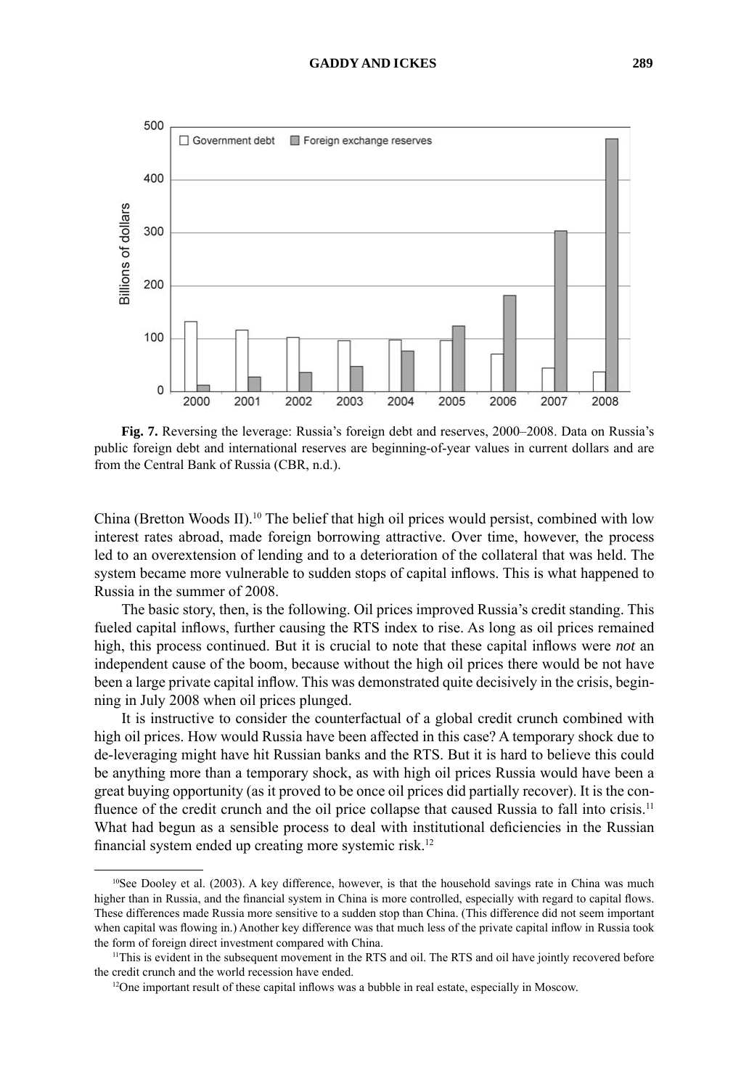

**Fig. 7.** Reversing the leverage: Russia's foreign debt and reserves, 2000–2008. Data on Russia's public foreign debt and international reserves are beginning-of-year values in current dollars and are from the Central Bank of Russia (CBR, n.d.).

China (Bretton Woods II).<sup>10</sup> The belief that high oil prices would persist, combined with low interest rates abroad, made foreign borrowing attractive. Over time, however, the process led to an overextension of lending and to a deterioration of the collateral that was held. The system became more vulnerable to sudden stops of capital inflows. This is what happened to Russia in the summer of 2008.

The basic story, then, is the following. Oil prices improved Russia's credit standing. This fueled capital inflows, further causing the RTS index to rise. As long as oil prices remained high, this process continued. But it is crucial to note that these capital inflows were *not* an independent cause of the boom, because without the high oil prices there would be not have been a large private capital inflow. This was demonstrated quite decisively in the crisis, beginning in July 2008 when oil prices plunged.

It is instructive to consider the counterfactual of a global credit crunch combined with high oil prices. How would Russia have been affected in this case? A temporary shock due to de-leveraging might have hit Russian banks and the RTS. But it is hard to believe this could be anything more than a temporary shock, as with high oil prices Russia would have been a great buying opportunity (as it proved to be once oil prices did partially recover). It is the confluence of the credit crunch and the oil price collapse that caused Russia to fall into crisis.<sup>11</sup> What had begun as a sensible process to deal with institutional deficiencies in the Russian financial system ended up creating more systemic risk.<sup>12</sup>

<sup>10</sup>See Dooley et al. (2003). A key difference, however, is that the household savings rate in China was much higher than in Russia, and the financial system in China is more controlled, especially with regard to capital flows. These differences made Russia more sensitive to a sudden stop than China. (This difference did not seem important when capital was flowing in.) Another key difference was that much less of the private capital inflow in Russia took the form of foreign direct investment compared with China.

<sup>11</sup>This is evident in the subsequent movement in the RTS and oil. The RTS and oil have jointly recovered before the credit crunch and the world recession have ended.<br><sup>12</sup>One important result of these capital inflows was a bubble in real estate, especially in Moscow.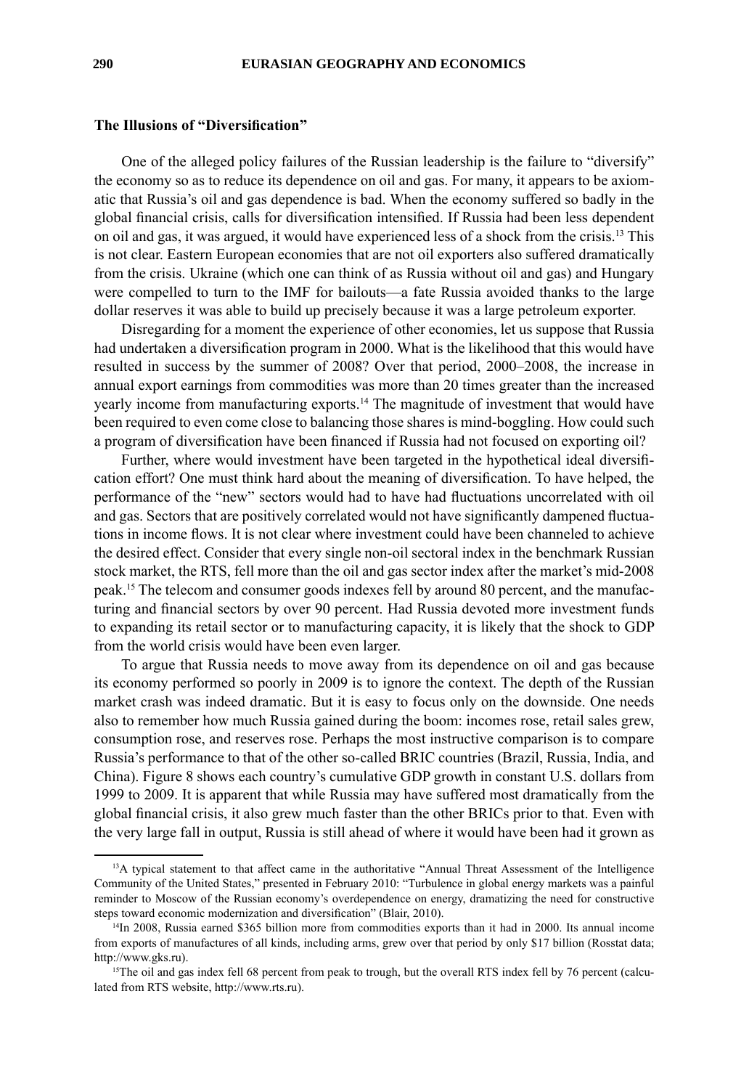# **The Illusions of "Diversification"**

One of the alleged policy failures of the Russian leadership is the failure to "diversify" the economy so as to reduce its dependence on oil and gas. For many, it appears to be axiomatic that Russia's oil and gas dependence is bad. When the economy suffered so badly in the global financial crisis, calls for diversification intensified. If Russia had been less dependent on oil and gas, it was argued, it would have experienced less of a shock from the crisis.13 This is not clear. Eastern European economies that are not oil exporters also suffered dramatically from the crisis. Ukraine (which one can think of as Russia without oil and gas) and Hungary were compelled to turn to the IMF for bailouts—a fate Russia avoided thanks to the large dollar reserves it was able to build up precisely because it was a large petroleum exporter.

Disregarding for a moment the experience of other economies, let us suppose that Russia had undertaken a diversification program in 2000. What is the likelihood that this would have resulted in success by the summer of 2008? Over that period, 2000–2008, the increase in annual export earnings from commodities was more than 20 times greater than the increased yearly income from manufacturing exports.14 The magnitude of investment that would have been required to even come close to balancing those shares is mind-boggling. How could such a program of diversification have been financed if Russia had not focused on exporting oil?

Further, where would investment have been targeted in the hypothetical ideal diversification effort? One must think hard about the meaning of diversification. To have helped, the performance of the "new" sectors would had to have had fluctuations uncorrelated with oil and gas. Sectors that are positively correlated would not have significantly dampened fluctuations in income flows. It is not clear where investment could have been channeled to achieve the desired effect. Consider that every single non-oil sectoral index in the benchmark Russian stock market, the RTS, fell more than the oil and gas sector index after the market's mid-2008 peak.15 The telecom and consumer goods indexes fell by around 80 percent, and the manufacturing and financial sectors by over 90 percent. Had Russia devoted more investment funds to expanding its retail sector or to manufacturing capacity, it is likely that the shock to GDP from the world crisis would have been even larger.

To argue that Russia needs to move away from its dependence on oil and gas because its economy performed so poorly in 2009 is to ignore the context. The depth of the Russian market crash was indeed dramatic. But it is easy to focus only on the downside. One needs also to remember how much Russia gained during the boom: incomes rose, retail sales grew, consumption rose, and reserves rose. Perhaps the most instructive comparison is to compare Russia's performance to that of the other so-called BRIC countries (Brazil, Russia, India, and China). Figure 8 shows each country's cumulative GDP growth in constant U.S. dollars from 1999 to 2009. It is apparent that while Russia may have suffered most dramatically from the global financial crisis, it also grew much faster than the other BRICs prior to that. Even with the very large fall in output, Russia is still ahead of where it would have been had it grown as

<sup>&</sup>lt;sup>13</sup>A typical statement to that affect came in the authoritative "Annual Threat Assessment of the Intelligence Community of the United States," presented in February 2010: "Turbulence in global energy markets was a painful reminder to Moscow of the Russian economy's overdependence on energy, dramatizing the need for constructive steps toward economic modernization and diversification" (Blair, 2010).

<sup>14</sup>In 2008, Russia earned \$365 billion more from commodities exports than it had in 2000. Its annual income from exports of manufactures of all kinds, including arms, grew over that period by only \$17 billion (Rosstat data; http://www.gks.ru).

<sup>&</sup>lt;sup>15</sup>The oil and gas index fell 68 percent from peak to trough, but the overall RTS index fell by 76 percent (calculated from RTS website, http://www.rts.ru).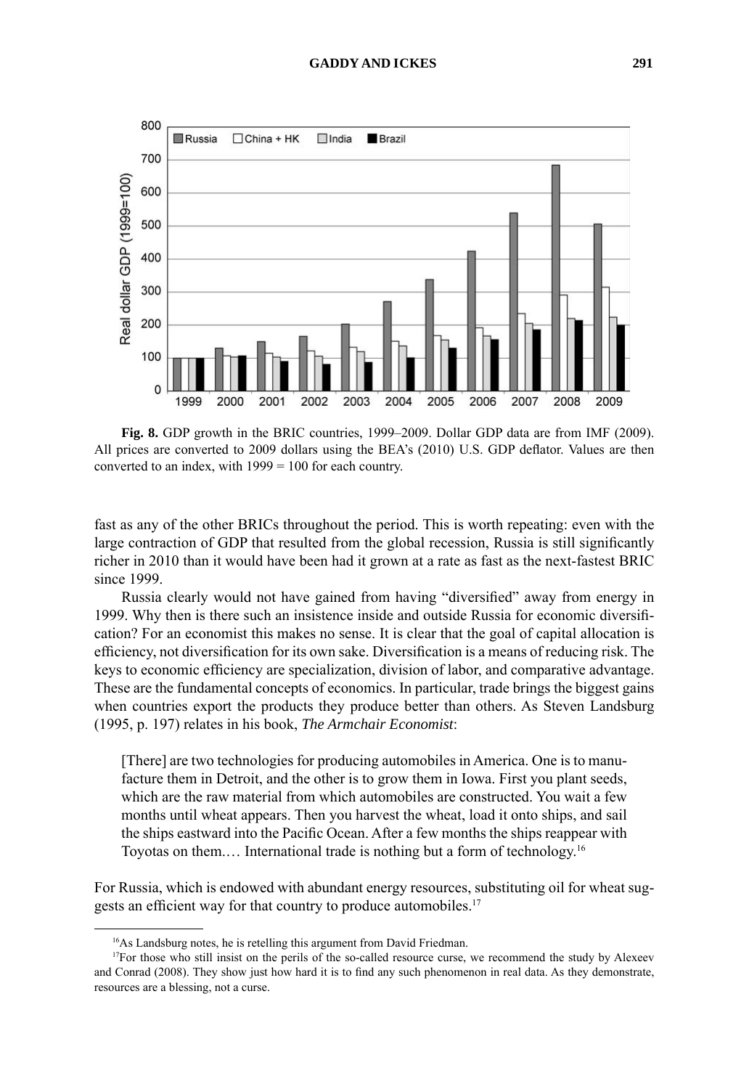

**Fig. 8.** GDP growth in the BRIC countries, 1999–2009. Dollar GDP data are from IMF (2009). All prices are converted to 2009 dollars using the BEA's (2010) U.S. GDP deflator. Values are then converted to an index, with 1999 = 100 for each country.

fast as any of the other BRICs throughout the period. This is worth repeating: even with the large contraction of GDP that resulted from the global recession, Russia is still significantly richer in 2010 than it would have been had it grown at a rate as fast as the next-fastest BRIC since 1999.

Russia clearly would not have gained from having "diversified" away from energy in 1999. Why then is there such an insistence inside and outside Russia for economic diversification? For an economist this makes no sense. It is clear that the goal of capital allocation is efficiency, not diversification for its own sake. Diversification is a means of reducing risk. The keys to economic efficiency are specialization, division of labor, and comparative advantage. These are the fundamental concepts of economics. In particular, trade brings the biggest gains when countries export the products they produce better than others. As Steven Landsburg (1995, p. 197) relates in his book, *The Armchair Economist*:

[There] are two technologies for producing automobiles in America. One is to manufacture them in Detroit, and the other is to grow them in Iowa. First you plant seeds, which are the raw material from which automobiles are constructed. You wait a few months until wheat appears. Then you harvest the wheat, load it onto ships, and sail the ships eastward into the Pacific Ocean. After a few months the ships reappear with Toyotas on them.… International trade is nothing but a form of technology.16

For Russia, which is endowed with abundant energy resources, substituting oil for wheat suggests an efficient way for that country to produce automobiles.<sup>17</sup>

<sup>16</sup>As Landsburg notes, he is retelling this argument from David Friedman.

<sup>&</sup>lt;sup>17</sup>For those who still insist on the perils of the so-called resource curse, we recommend the study by Alexeev and Conrad (2008). They show just how hard it is to find any such phenomenon in real data. As they demonstrate, resources are a blessing, not a curse.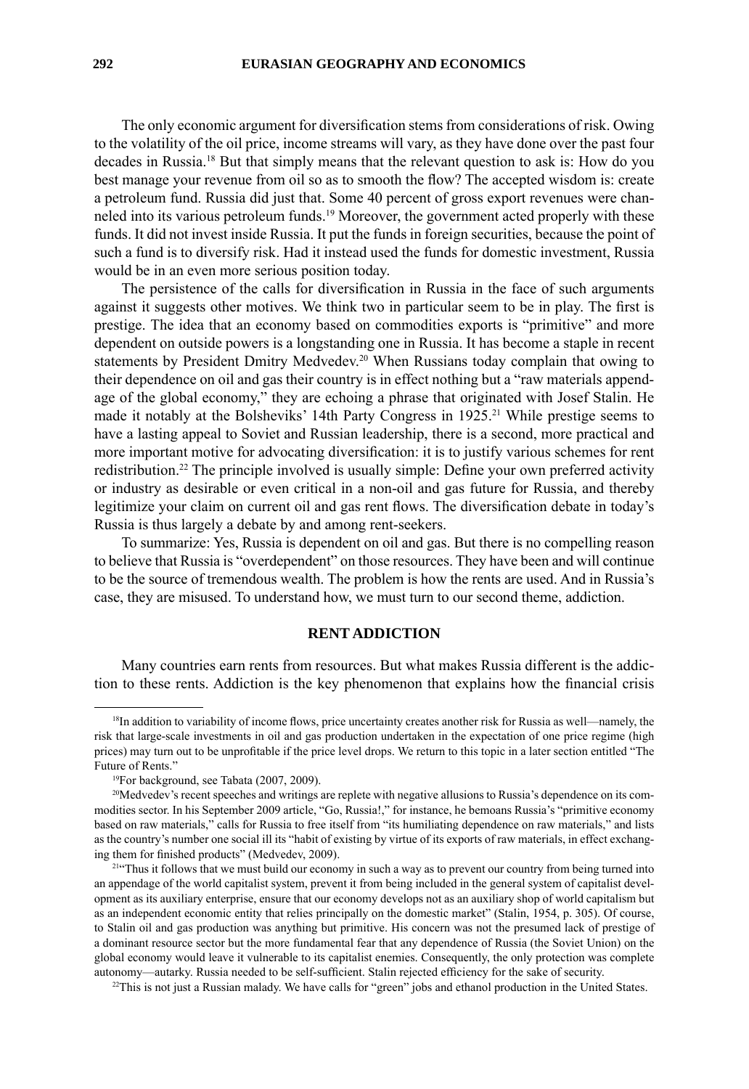The only economic argument for diversification stems from considerations of risk. Owing to the volatility of the oil price, income streams will vary, as they have done over the past four decades in Russia.<sup>18</sup> But that simply means that the relevant question to ask is: How do you best manage your revenue from oil so as to smooth the flow? The accepted wisdom is: create a petroleum fund. Russia did just that. Some 40 percent of gross export revenues were channeled into its various petroleum funds.19 Moreover, the government acted properly with these funds. It did not invest inside Russia. It put the funds in foreign securities, because the point of such a fund is to diversify risk. Had it instead used the funds for domestic investment, Russia would be in an even more serious position today.

The persistence of the calls for diversification in Russia in the face of such arguments against it suggests other motives. We think two in particular seem to be in play. The first is prestige. The idea that an economy based on commodities exports is "primitive" and more dependent on outside powers is a longstanding one in Russia. It has become a staple in recent statements by President Dmitry Medvedev.<sup>20</sup> When Russians today complain that owing to their dependence on oil and gas their country is in effect nothing but a "raw materials appendage of the global economy," they are echoing a phrase that originated with Josef Stalin. He made it notably at the Bolsheviks' 14th Party Congress in 1925.<sup>21</sup> While prestige seems to have a lasting appeal to Soviet and Russian leadership, there is a second, more practical and more important motive for advocating diversification: it is to justify various schemes for rent redistribution.22 The principle involved is usually simple: Define your own preferred activity or industry as desirable or even critical in a non-oil and gas future for Russia, and thereby legitimize your claim on current oil and gas rent flows. The diversification debate in today's Russia is thus largely a debate by and among rent-seekers.

To summarize: Yes, Russia is dependent on oil and gas. But there is no compelling reason to believe that Russia is "overdependent" on those resources. They have been and will continue to be the source of tremendous wealth. The problem is how the rents are used. And in Russia's case, they are misused. To understand how, we must turn to our second theme, addiction.

# **RENT ADDICTION**

Many countries earn rents from resources. But what makes Russia different is the addiction to these rents. Addiction is the key phenomenon that explains how the financial crisis

 $22$ This is not just a Russian malady. We have calls for "green" jobs and ethanol production in the United States.

<sup>18</sup>In addition to variability of income flows, price uncertainty creates another risk for Russia as well—namely, the risk that large-scale investments in oil and gas production undertaken in the expectation of one price regime (high prices) may turn out to be unprofitable if the price level drops. We return to this topic in a later section entitled "The Future of Rents."

<sup>19</sup>For background, see Tabata (2007, 2009).

<sup>&</sup>lt;sup>20</sup>Medvedev's recent speeches and writings are replete with negative allusions to Russia's dependence on its commodities sector. In his September 2009 article, "Go, Russia!," for instance, he bemoans Russia's "primitive economy based on raw materials," calls for Russia to free itself from "its humiliating dependence on raw materials," and lists as the country's number one social ill its "habit of existing by virtue of its exports of raw materials, in effect exchanging them for finished products" (Medvedev, 2009).

<sup>&</sup>lt;sup>21"</sup>Thus it follows that we must build our economy in such a way as to prevent our country from being turned into an appendage of the world capitalist system, prevent it from being included in the general system of capitalist development as its auxiliary enterprise, ensure that our economy develops not as an auxiliary shop of world capitalism but as an independent economic entity that relies principally on the domestic market" (Stalin, 1954, p. 305). Of course, to Stalin oil and gas production was anything but primitive. His concern was not the presumed lack of prestige of a dominant resource sector but the more fundamental fear that any dependence of Russia (the Soviet Union) on the global economy would leave it vulnerable to its capitalist enemies. Consequently, the only protection was complete autonomy—autarky. Russia needed to be self-sufficient. Stalin rejected efficiency for the sake of security.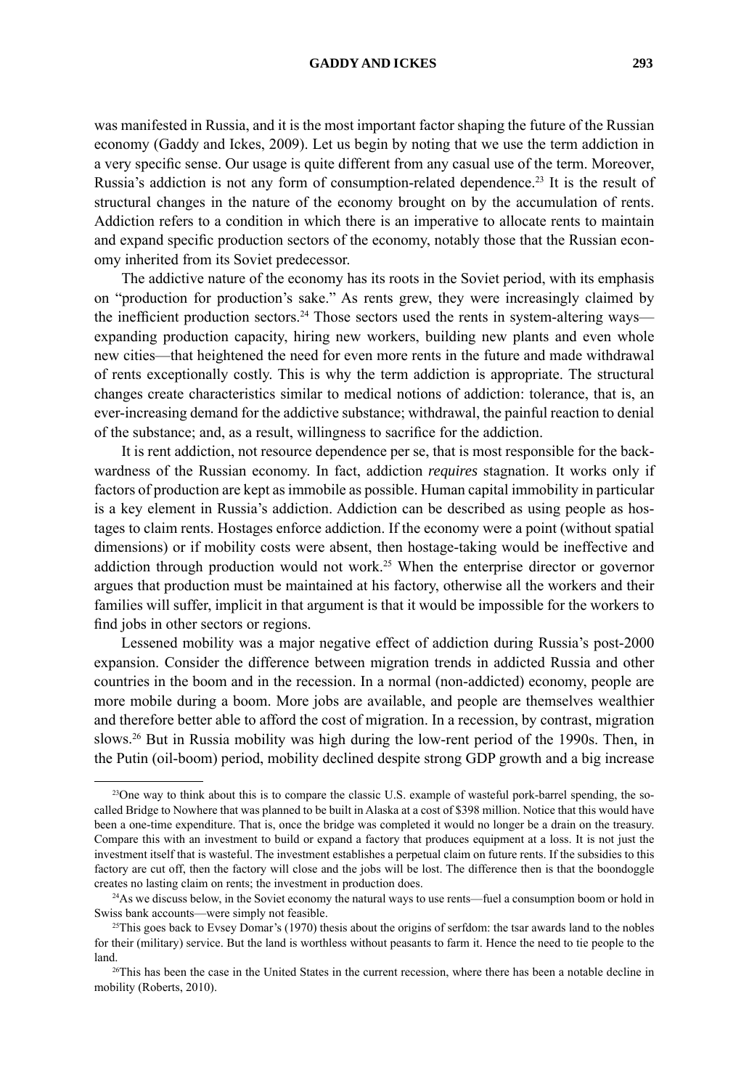was manifested in Russia, and it is the most important factor shaping the future of the Russian economy (Gaddy and Ickes, 2009). Let us begin by noting that we use the term addiction in a very specific sense. Our usage is quite different from any casual use of the term. Moreover, Russia's addiction is not any form of consumption-related dependence.23 It is the result of structural changes in the nature of the economy brought on by the accumulation of rents. Addiction refers to a condition in which there is an imperative to allocate rents to maintain and expand specific production sectors of the economy, notably those that the Russian economy inherited from its Soviet predecessor.

The addictive nature of the economy has its roots in the Soviet period, with its emphasis on "production for production's sake." As rents grew, they were increasingly claimed by the inefficient production sectors.<sup>24</sup> Those sectors used the rents in system-altering ways expanding production capacity, hiring new workers, building new plants and even whole new cities—that heightened the need for even more rents in the future and made withdrawal of rents exceptionally costly. This is why the term addiction is appropriate. The structural changes create characteristics similar to medical notions of addiction: tolerance, that is, an ever-increasing demand for the addictive substance; withdrawal, the painful reaction to denial of the substance; and, as a result, willingness to sacrifice for the addiction.

It is rent addiction, not resource dependence per se, that is most responsible for the backwardness of the Russian economy. In fact, addiction *requires* stagnation. It works only if factors of production are kept as immobile as possible. Human capital immobility in particular is a key element in Russia's addiction. Addiction can be described as using people as hostages to claim rents. Hostages enforce addiction. If the economy were a point (without spatial dimensions) or if mobility costs were absent, then hostage-taking would be ineffective and addiction through production would not work.<sup>25</sup> When the enterprise director or governor argues that production must be maintained at his factory, otherwise all the workers and their families will suffer, implicit in that argument is that it would be impossible for the workers to find jobs in other sectors or regions.

Lessened mobility was a major negative effect of addiction during Russia's post-2000 expansion. Consider the difference between migration trends in addicted Russia and other countries in the boom and in the recession. In a normal (non-addicted) economy, people are more mobile during a boom. More jobs are available, and people are themselves wealthier and therefore better able to afford the cost of migration. In a recession, by contrast, migration slows.<sup>26</sup> But in Russia mobility was high during the low-rent period of the 1990s. Then, in the Putin (oil-boom) period, mobility declined despite strong GDP growth and a big increase

<sup>&</sup>lt;sup>23</sup>One way to think about this is to compare the classic U.S. example of wasteful pork-barrel spending, the socalled Bridge to Nowhere that was planned to be built in Alaska at a cost of \$398 million. Notice that this would have been a one-time expenditure. That is, once the bridge was completed it would no longer be a drain on the treasury. Compare this with an investment to build or expand a factory that produces equipment at a loss. It is not just the investment itself that is wasteful. The investment establishes a perpetual claim on future rents. If the subsidies to this factory are cut off, then the factory will close and the jobs will be lost. The difference then is that the boondoggle creates no lasting claim on rents; the investment in production does.

<sup>&</sup>lt;sup>24</sup>As we discuss below, in the Soviet economy the natural ways to use rents—fuel a consumption boom or hold in Swiss bank accounts—were simply not feasible.

 $25$ This goes back to Evsey Domar's (1970) thesis about the origins of serfdom: the tsar awards land to the nobles for their (military) service. But the land is worthless without peasants to farm it. Hence the need to tie people to the land.<br><sup>26</sup>This has been the case in the United States in the current recession, where there has been a notable decline in

mobility (Roberts, 2010).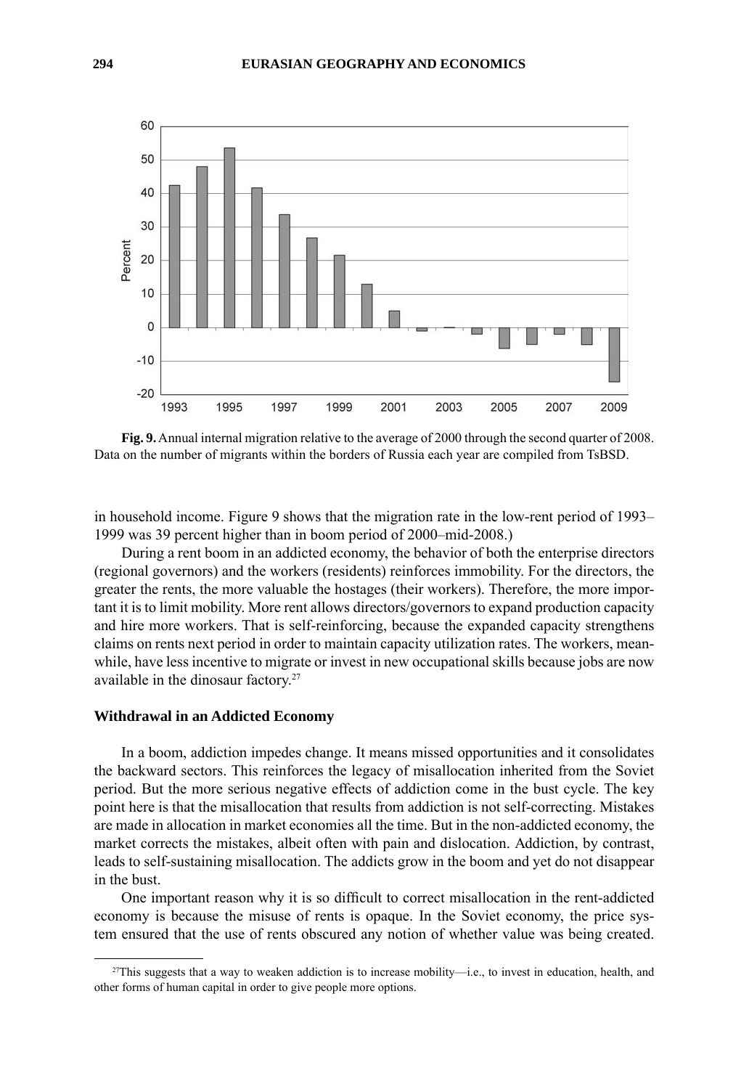

**Fig. 9.** Annual internal migration relative to the average of 2000 through the second quarter of 2008. Data on the number of migrants within the borders of Russia each year are compiled from TsBSD.

in household income. Figure 9 shows that the migration rate in the low-rent period of 1993– 1999 was 39 percent higher than in boom period of 2000–mid-2008.)

During a rent boom in an addicted economy, the behavior of both the enterprise directors (regional governors) and the workers (residents) reinforces immobility. For the directors, the greater the rents, the more valuable the hostages (their workers). Therefore, the more important it is to limit mobility. More rent allows directors/governors to expand production capacity and hire more workers. That is self-reinforcing, because the expanded capacity strengthens claims on rents next period in order to maintain capacity utilization rates. The workers, meanwhile, have less incentive to migrate or invest in new occupational skills because jobs are now available in the dinosaur factory.27

#### **Withdrawal in an Addicted Economy**

In a boom, addiction impedes change. It means missed opportunities and it consolidates the backward sectors. This reinforces the legacy of misallocation inherited from the Soviet period. But the more serious negative effects of addiction come in the bust cycle. The key point here is that the misallocation that results from addiction is not self-correcting. Mistakes are made in allocation in market economies all the time. But in the non-addicted economy, the market corrects the mistakes, albeit often with pain and dislocation. Addiction, by contrast, leads to self-sustaining misallocation. The addicts grow in the boom and yet do not disappear in the bust.

One important reason why it is so difficult to correct misallocation in the rent-addicted economy is because the misuse of rents is opaque. In the Soviet economy, the price system ensured that the use of rents obscured any notion of whether value was being created.

 $27$ This suggests that a way to weaken addiction is to increase mobility—i.e., to invest in education, health, and other forms of human capital in order to give people more options.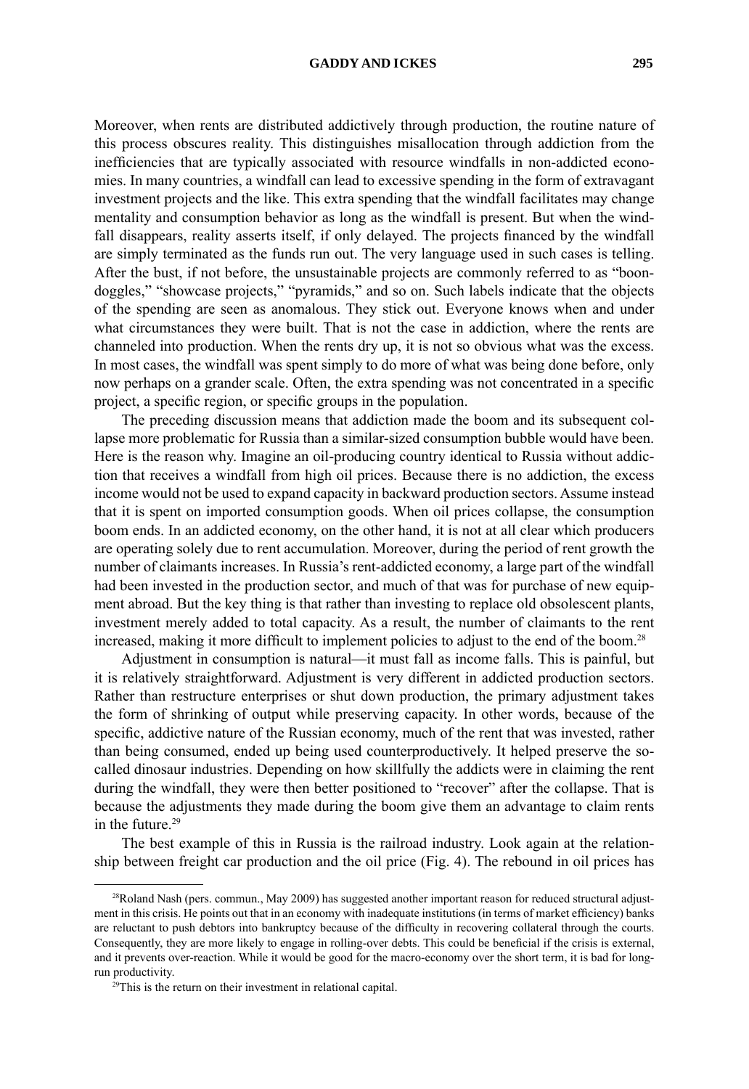#### **GADDY AND ICKES 295**

Moreover, when rents are distributed addictively through production, the routine nature of this process obscures reality. This distinguishes misallocation through addiction from the inefficiencies that are typically associated with resource windfalls in non-addicted economies. In many countries, a windfall can lead to excessive spending in the form of extravagant investment projects and the like. This extra spending that the windfall facilitates may change mentality and consumption behavior as long as the windfall is present. But when the windfall disappears, reality asserts itself, if only delayed. The projects financed by the windfall are simply terminated as the funds run out. The very language used in such cases is telling. After the bust, if not before, the unsustainable projects are commonly referred to as "boondoggles," "showcase projects," "pyramids," and so on. Such labels indicate that the objects of the spending are seen as anomalous. They stick out. Everyone knows when and under what circumstances they were built. That is not the case in addiction, where the rents are channeled into production. When the rents dry up, it is not so obvious what was the excess. In most cases, the windfall was spent simply to do more of what was being done before, only now perhaps on a grander scale. Often, the extra spending was not concentrated in a specific project, a specific region, or specific groups in the population.

The preceding discussion means that addiction made the boom and its subsequent collapse more problematic for Russia than a similar-sized consumption bubble would have been. Here is the reason why. Imagine an oil-producing country identical to Russia without addiction that receives a windfall from high oil prices. Because there is no addiction, the excess income would not be used to expand capacity in backward production sectors. Assume instead that it is spent on imported consumption goods. When oil prices collapse, the consumption boom ends. In an addicted economy, on the other hand, it is not at all clear which producers are operating solely due to rent accumulation. Moreover, during the period of rent growth the number of claimants increases. In Russia's rent-addicted economy, a large part of the windfall had been invested in the production sector, and much of that was for purchase of new equipment abroad. But the key thing is that rather than investing to replace old obsolescent plants, investment merely added to total capacity. As a result, the number of claimants to the rent increased, making it more difficult to implement policies to adjust to the end of the boom.<sup>28</sup>

Adjustment in consumption is natural—it must fall as income falls. This is painful, but it is relatively straightforward. Adjustment is very different in addicted production sectors. Rather than restructure enterprises or shut down production, the primary adjustment takes the form of shrinking of output while preserving capacity. In other words, because of the specific, addictive nature of the Russian economy, much of the rent that was invested, rather than being consumed, ended up being used counterproductively. It helped preserve the socalled dinosaur industries. Depending on how skillfully the addicts were in claiming the rent during the windfall, they were then better positioned to "recover" after the collapse. That is because the adjustments they made during the boom give them an advantage to claim rents in the future. $29$ 

The best example of this in Russia is the railroad industry. Look again at the relationship between freight car production and the oil price (Fig. 4). The rebound in oil prices has

<sup>&</sup>lt;sup>28</sup>Roland Nash (pers. commun., May 2009) has suggested another important reason for reduced structural adjustment in this crisis. He points out that in an economy with inadequate institutions (in terms of market efficiency) banks are reluctant to push debtors into bankruptcy because of the difficulty in recovering collateral through the courts. Consequently, they are more likely to engage in rolling-over debts. This could be beneficial if the crisis is external, and it prevents over-reaction. While it would be good for the macro-economy over the short term, it is bad for longrun productivity. 29This is the return on their investment in relational capital.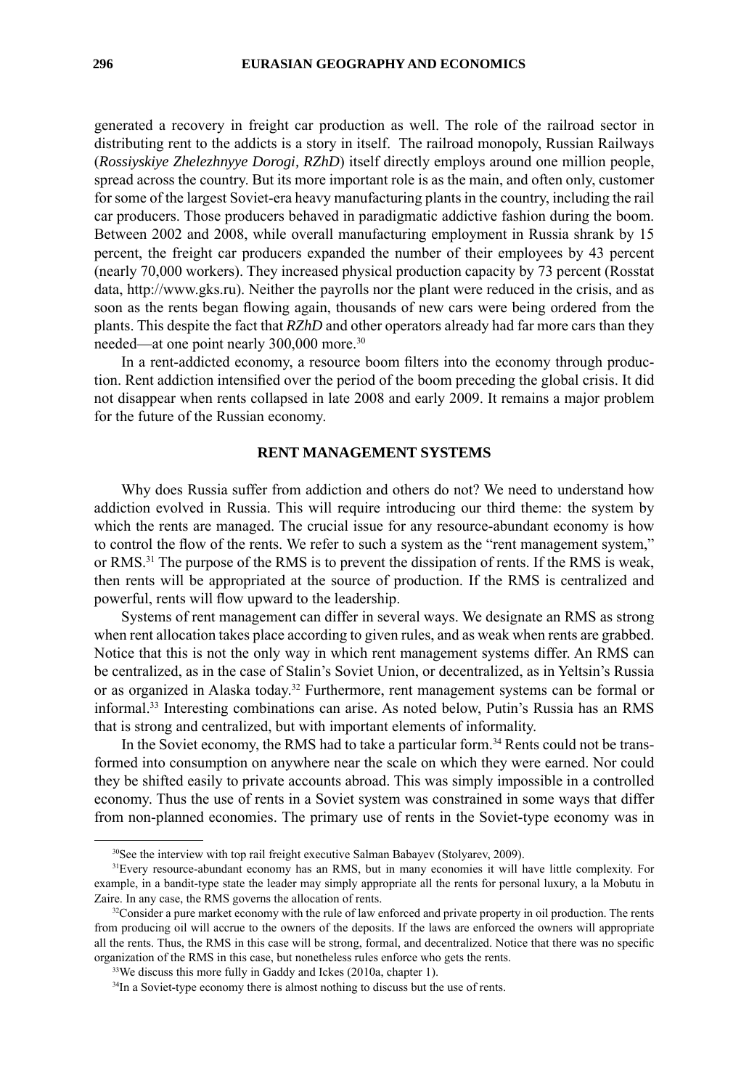generated a recovery in freight car production as well. The role of the railroad sector in distributing rent to the addicts is a story in itself. The railroad monopoly, Russian Railways (*Rossiyskiye Zhelezhnyye Dorogi, RZhD*) itself directly employs around one million people, spread across the country. But its more important role is as the main, and often only, customer for some of the largest Soviet-era heavy manufacturing plants in the country, including the rail car producers. Those producers behaved in paradigmatic addictive fashion during the boom. Between 2002 and 2008, while overall manufacturing employment in Russia shrank by 15 percent, the freight car producers expanded the number of their employees by 43 percent (nearly 70,000 workers). They increased physical production capacity by 73 percent (Rosstat data, http://www.gks.ru). Neither the payrolls nor the plant were reduced in the crisis, and as soon as the rents began flowing again, thousands of new cars were being ordered from the plants. This despite the fact that *RZhD* and other operators already had far more cars than they needed—at one point nearly 300,000 more.30

In a rent-addicted economy, a resource boom filters into the economy through production. Rent addiction intensified over the period of the boom preceding the global crisis. It did not disappear when rents collapsed in late 2008 and early 2009. It remains a major problem for the future of the Russian economy.

# **RENT MANAGEMENT SYSTEMS**

Why does Russia suffer from addiction and others do not? We need to understand how addiction evolved in Russia. This will require introducing our third theme: the system by which the rents are managed. The crucial issue for any resource-abundant economy is how to control the flow of the rents. We refer to such a system as the "rent management system," or RMS.31 The purpose of the RMS is to prevent the dissipation of rents. If the RMS is weak, then rents will be appropriated at the source of production. If the RMS is centralized and powerful, rents will flow upward to the leadership.

Systems of rent management can differ in several ways. We designate an RMS as strong when rent allocation takes place according to given rules, and as weak when rents are grabbed. Notice that this is not the only way in which rent management systems differ. An RMS can be centralized, as in the case of Stalin's Soviet Union, or decentralized, as in Yeltsin's Russia or as organized in Alaska today.<sup>32</sup> Furthermore, rent management systems can be formal or informal.33 Interesting combinations can arise. As noted below, Putin's Russia has an RMS that is strong and centralized, but with important elements of informality.

In the Soviet economy, the RMS had to take a particular form.<sup>34</sup> Rents could not be transformed into consumption on anywhere near the scale on which they were earned. Nor could they be shifted easily to private accounts abroad. This was simply impossible in a controlled economy. Thus the use of rents in a Soviet system was constrained in some ways that differ from non-planned economies. The primary use of rents in the Soviet-type economy was in

<sup>30</sup>See the interview with top rail freight executive Salman Babayev (Stolyarev, 2009).

<sup>&</sup>lt;sup>31</sup>Every resource-abundant economy has an RMS, but in many economies it will have little complexity. For example, in a bandit-type state the leader may simply appropriate all the rents for personal luxury, a la Mobutu in Zaire. In any case, the RMS governs the allocation of rents.

<sup>&</sup>lt;sup>32</sup>Consider a pure market economy with the rule of law enforced and private property in oil production. The rents from producing oil will accrue to the owners of the deposits. If the laws are enforced the owners will appropriate all the rents. Thus, the RMS in this case will be strong, formal, and decentralized. Notice that there was no specific organization of the RMS in this case, but nonetheless rules enforce who gets the rents.

<sup>33</sup>We discuss this more fully in Gaddy and Ickes (2010a, chapter 1).

<sup>&</sup>lt;sup>34</sup>In a Soviet-type economy there is almost nothing to discuss but the use of rents.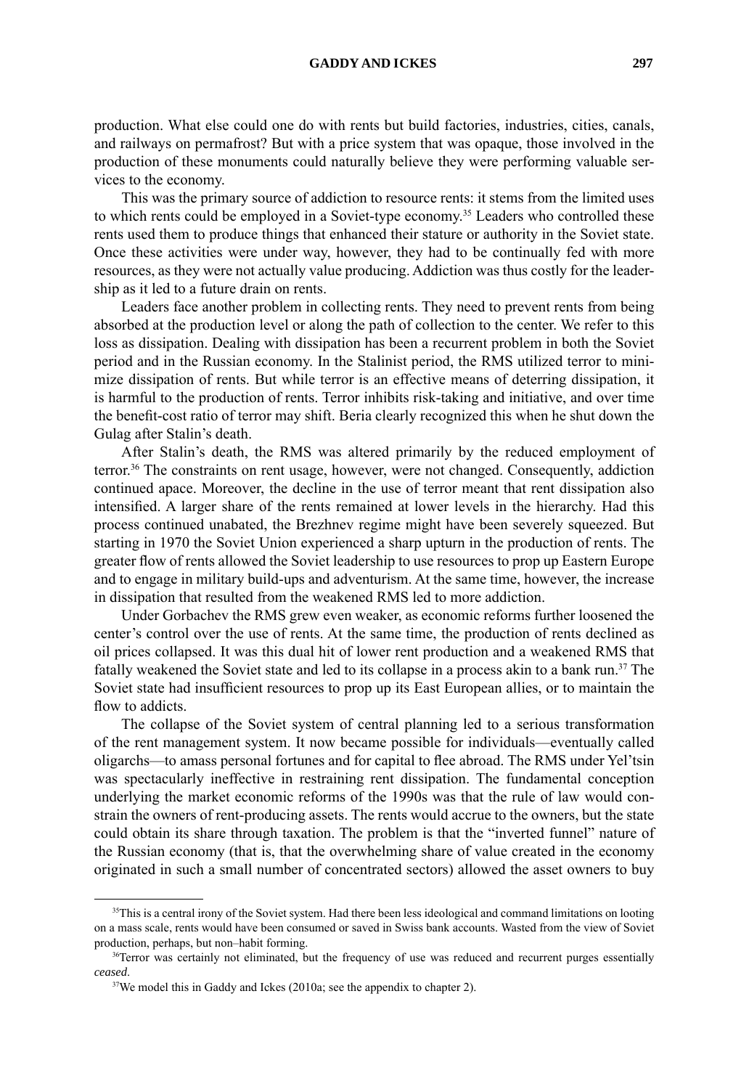#### **GADDY AND ICKES 297**

production. What else could one do with rents but build factories, industries, cities, canals, and railways on permafrost? But with a price system that was opaque, those involved in the production of these monuments could naturally believe they were performing valuable services to the economy.

This was the primary source of addiction to resource rents: it stems from the limited uses to which rents could be employed in a Soviet-type economy.35 Leaders who controlled these rents used them to produce things that enhanced their stature or authority in the Soviet state. Once these activities were under way, however, they had to be continually fed with more resources, as they were not actually value producing. Addiction was thus costly for the leadership as it led to a future drain on rents.

Leaders face another problem in collecting rents. They need to prevent rents from being absorbed at the production level or along the path of collection to the center. We refer to this loss as dissipation. Dealing with dissipation has been a recurrent problem in both the Soviet period and in the Russian economy. In the Stalinist period, the RMS utilized terror to minimize dissipation of rents. But while terror is an effective means of deterring dissipation, it is harmful to the production of rents. Terror inhibits risk-taking and initiative, and over time the benefit-cost ratio of terror may shift. Beria clearly recognized this when he shut down the Gulag after Stalin's death.

After Stalin's death, the RMS was altered primarily by the reduced employment of terror.36 The constraints on rent usage, however, were not changed. Consequently, addiction continued apace. Moreover, the decline in the use of terror meant that rent dissipation also intensified. A larger share of the rents remained at lower levels in the hierarchy. Had this process continued unabated, the Brezhnev regime might have been severely squeezed. But starting in 1970 the Soviet Union experienced a sharp upturn in the production of rents. The greater flow of rents allowed the Soviet leadership to use resources to prop up Eastern Europe and to engage in military build-ups and adventurism. At the same time, however, the increase in dissipation that resulted from the weakened RMS led to more addiction.

Under Gorbachev the RMS grew even weaker, as economic reforms further loosened the center's control over the use of rents. At the same time, the production of rents declined as oil prices collapsed. It was this dual hit of lower rent production and a weakened RMS that fatally weakened the Soviet state and led to its collapse in a process akin to a bank run.<sup>37</sup> The Soviet state had insufficient resources to prop up its East European allies, or to maintain the flow to addicts.

The collapse of the Soviet system of central planning led to a serious transformation of the rent management system. It now became possible for individuals—eventually called oligarchs—to amass personal fortunes and for capital to flee abroad. The RMS under Yel'tsin was spectacularly ineffective in restraining rent dissipation. The fundamental conception underlying the market economic reforms of the 1990s was that the rule of law would constrain the owners of rent-producing assets. The rents would accrue to the owners, but the state could obtain its share through taxation. The problem is that the "inverted funnel" nature of the Russian economy (that is, that the overwhelming share of value created in the economy originated in such a small number of concentrated sectors) allowed the asset owners to buy

<sup>&</sup>lt;sup>35</sup>This is a central irony of the Soviet system. Had there been less ideological and command limitations on looting on a mass scale, rents would have been consumed or saved in Swiss bank accounts. Wasted from the view of Soviet production, perhaps, but non–habit forming.<br><sup>36</sup>Terror was certainly not eliminated, but the frequency of use was reduced and recurrent purges essentially

*ceased*.

<sup>&</sup>lt;sup>37</sup>We model this in Gaddy and Ickes (2010a; see the appendix to chapter 2).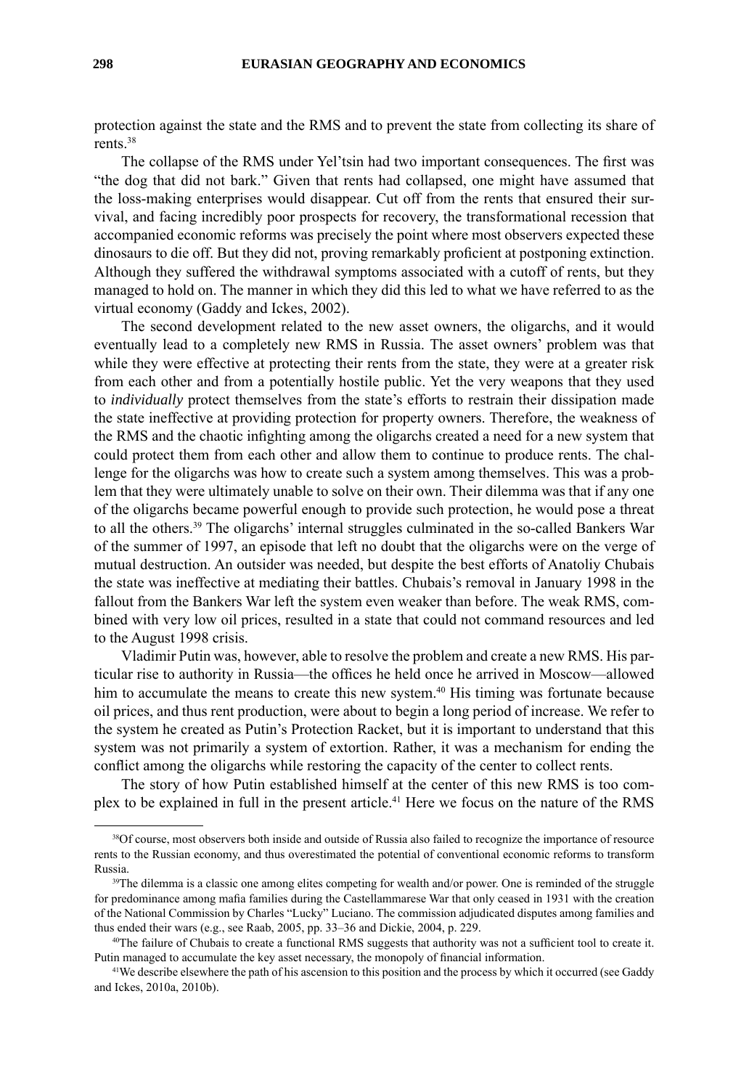protection against the state and the RMS and to prevent the state from collecting its share of rents.38

The collapse of the RMS under Yel'tsin had two important consequences. The first was "the dog that did not bark." Given that rents had collapsed, one might have assumed that the loss-making enterprises would disappear. Cut off from the rents that ensured their survival, and facing incredibly poor prospects for recovery, the transformational recession that accompanied economic reforms was precisely the point where most observers expected these dinosaurs to die off. But they did not, proving remarkably proficient at postponing extinction. Although they suffered the withdrawal symptoms associated with a cutoff of rents, but they managed to hold on. The manner in which they did this led to what we have referred to as the virtual economy (Gaddy and Ickes, 2002).

The second development related to the new asset owners, the oligarchs, and it would eventually lead to a completely new RMS in Russia. The asset owners' problem was that while they were effective at protecting their rents from the state, they were at a greater risk from each other and from a potentially hostile public. Yet the very weapons that they used to *individually* protect themselves from the state's efforts to restrain their dissipation made the state ineffective at providing protection for property owners. Therefore, the weakness of the RMS and the chaotic infighting among the oligarchs created a need for a new system that could protect them from each other and allow them to continue to produce rents. The challenge for the oligarchs was how to create such a system among themselves. This was a problem that they were ultimately unable to solve on their own. Their dilemma was that if any one of the oligarchs became powerful enough to provide such protection, he would pose a threat to all the others.39 The oligarchs' internal struggles culminated in the so-called Bankers War of the summer of 1997, an episode that left no doubt that the oligarchs were on the verge of mutual destruction. An outsider was needed, but despite the best efforts of Anatoliy Chubais the state was ineffective at mediating their battles. Chubais's removal in January 1998 in the fallout from the Bankers War left the system even weaker than before. The weak RMS, combined with very low oil prices, resulted in a state that could not command resources and led to the August 1998 crisis.

Vladimir Putin was, however, able to resolve the problem and create a new RMS. His particular rise to authority in Russia—the offices he held once he arrived in Moscow—allowed him to accumulate the means to create this new system.<sup>40</sup> His timing was fortunate because oil prices, and thus rent production, were about to begin a long period of increase. We refer to the system he created as Putin's Protection Racket, but it is important to understand that this system was not primarily a system of extortion. Rather, it was a mechanism for ending the conflict among the oligarchs while restoring the capacity of the center to collect rents.

The story of how Putin established himself at the center of this new RMS is too complex to be explained in full in the present article.<sup>41</sup> Here we focus on the nature of the RMS

<sup>38</sup>Of course, most observers both inside and outside of Russia also failed to recognize the importance of resource rents to the Russian economy, and thus overestimated the potential of conventional economic reforms to transform Russia.<br><sup>39</sup>The dilemma is a classic one among elites competing for wealth and/or power. One is reminded of the struggle

for predominance among mafia families during the Castellammarese War that only ceased in 1931 with the creation of the National Commission by Charles "Lucky" Luciano. The commission adjudicated disputes among families and thus ended their wars (e.g., see Raab, 2005, pp. 33–36 and Dickie, 2004, p. 229.

<sup>40</sup>The failure of Chubais to create a functional RMS suggests that authority was not a sufficient tool to create it. Putin managed to accumulate the key asset necessary, the monopoly of financial information.

<sup>&</sup>lt;sup>41</sup>We describe elsewhere the path of his ascension to this position and the process by which it occurred (see Gaddy and Ickes, 2010a, 2010b).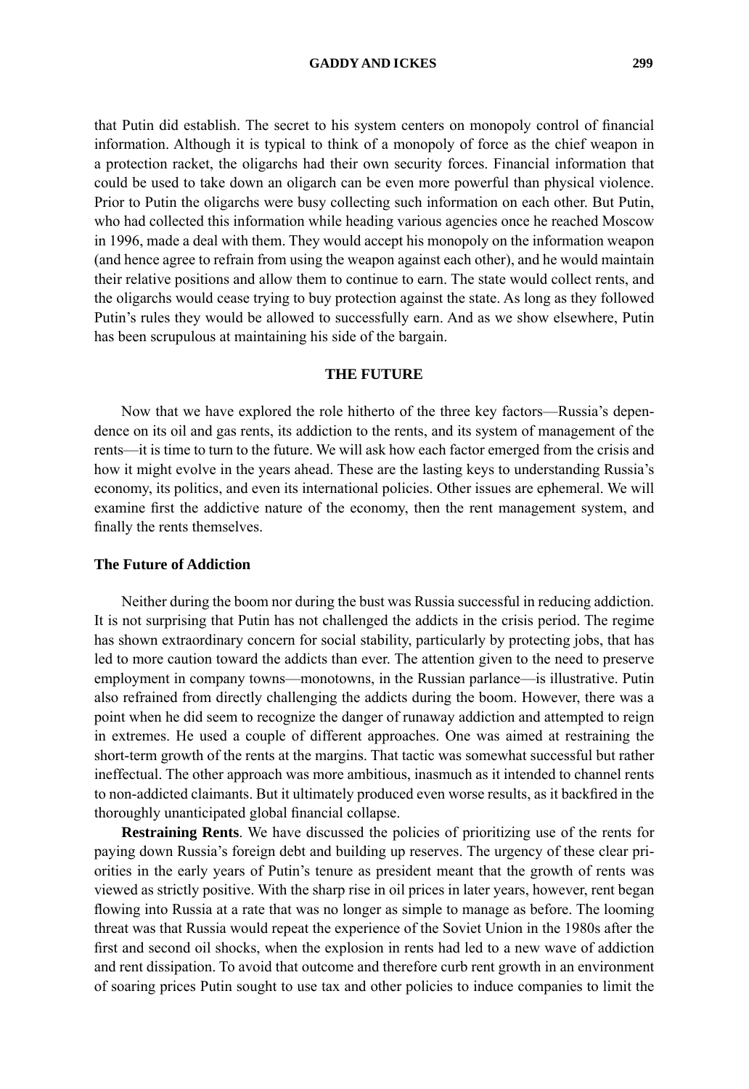that Putin did establish. The secret to his system centers on monopoly control of financial information. Although it is typical to think of a monopoly of force as the chief weapon in a protection racket, the oligarchs had their own security forces. Financial information that could be used to take down an oligarch can be even more powerful than physical violence. Prior to Putin the oligarchs were busy collecting such information on each other. But Putin, who had collected this information while heading various agencies once he reached Moscow in 1996, made a deal with them. They would accept his monopoly on the information weapon (and hence agree to refrain from using the weapon against each other), and he would maintain their relative positions and allow them to continue to earn. The state would collect rents, and the oligarchs would cease trying to buy protection against the state. As long as they followed Putin's rules they would be allowed to successfully earn. And as we show elsewhere, Putin has been scrupulous at maintaining his side of the bargain.

## **THE FUTURE**

Now that we have explored the role hitherto of the three key factors—Russia's dependence on its oil and gas rents, its addiction to the rents, and its system of management of the rents—it is time to turn to the future. We will ask how each factor emerged from the crisis and how it might evolve in the years ahead. These are the lasting keys to understanding Russia's economy, its politics, and even its international policies. Other issues are ephemeral. We will examine first the addictive nature of the economy, then the rent management system, and finally the rents themselves.

## **The Future of Addiction**

Neither during the boom nor during the bust was Russia successful in reducing addiction. It is not surprising that Putin has not challenged the addicts in the crisis period. The regime has shown extraordinary concern for social stability, particularly by protecting jobs, that has led to more caution toward the addicts than ever. The attention given to the need to preserve employment in company towns—monotowns, in the Russian parlance—is illustrative. Putin also refrained from directly challenging the addicts during the boom. However, there was a point when he did seem to recognize the danger of runaway addiction and attempted to reign in extremes. He used a couple of different approaches. One was aimed at restraining the short-term growth of the rents at the margins. That tactic was somewhat successful but rather ineffectual. The other approach was more ambitious, inasmuch as it intended to channel rents to non-addicted claimants. But it ultimately produced even worse results, as it backfired in the thoroughly unanticipated global financial collapse.

**Restraining Rents**. We have discussed the policies of prioritizing use of the rents for paying down Russia's foreign debt and building up reserves. The urgency of these clear priorities in the early years of Putin's tenure as president meant that the growth of rents was viewed as strictly positive. With the sharp rise in oil prices in later years, however, rent began flowing into Russia at a rate that was no longer as simple to manage as before. The looming threat was that Russia would repeat the experience of the Soviet Union in the 1980s after the first and second oil shocks, when the explosion in rents had led to a new wave of addiction and rent dissipation. To avoid that outcome and therefore curb rent growth in an environment of soaring prices Putin sought to use tax and other policies to induce companies to limit the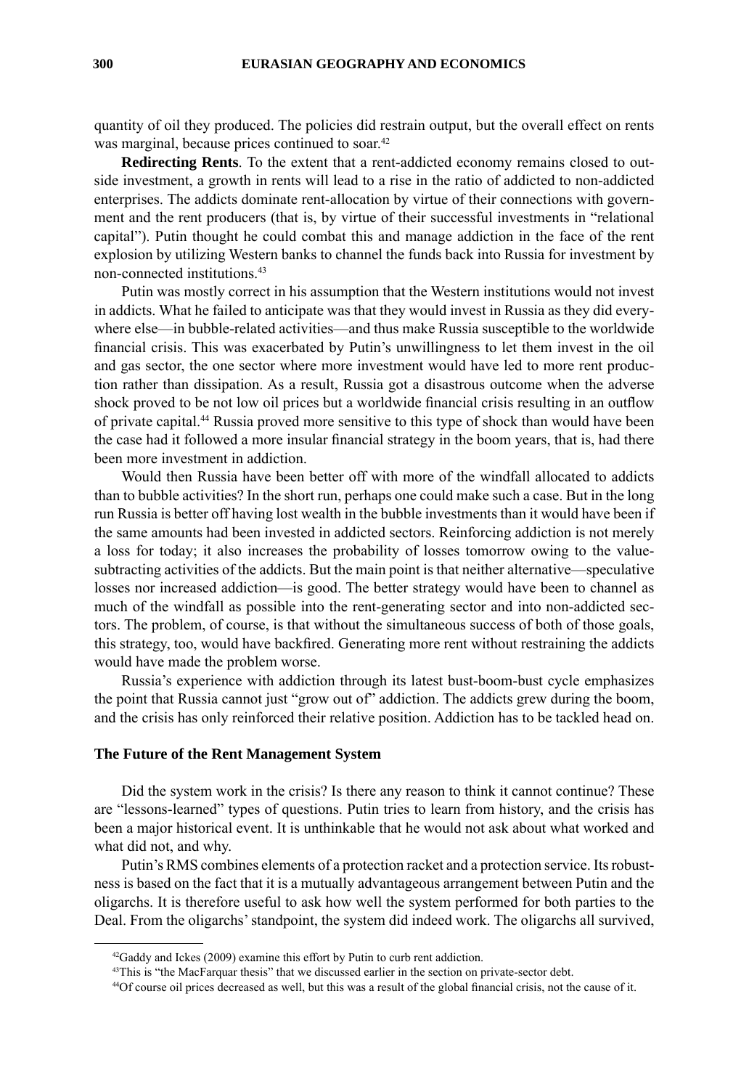quantity of oil they produced. The policies did restrain output, but the overall effect on rents was marginal, because prices continued to soar.<sup>42</sup>

**Redirecting Rents**. To the extent that a rent-addicted economy remains closed to outside investment, a growth in rents will lead to a rise in the ratio of addicted to non-addicted enterprises. The addicts dominate rent-allocation by virtue of their connections with government and the rent producers (that is, by virtue of their successful investments in "relational capital"). Putin thought he could combat this and manage addiction in the face of the rent explosion by utilizing Western banks to channel the funds back into Russia for investment by non-connected institutions.43

Putin was mostly correct in his assumption that the Western institutions would not invest in addicts. What he failed to anticipate was that they would invest in Russia as they did everywhere else—in bubble-related activities—and thus make Russia susceptible to the worldwide financial crisis. This was exacerbated by Putin's unwillingness to let them invest in the oil and gas sector, the one sector where more investment would have led to more rent production rather than dissipation. As a result, Russia got a disastrous outcome when the adverse shock proved to be not low oil prices but a worldwide financial crisis resulting in an outflow of private capital.44 Russia proved more sensitive to this type of shock than would have been the case had it followed a more insular financial strategy in the boom years, that is, had there been more investment in addiction.

Would then Russia have been better off with more of the windfall allocated to addicts than to bubble activities? In the short run, perhaps one could make such a case. But in the long run Russia is better off having lost wealth in the bubble investments than it would have been if the same amounts had been invested in addicted sectors. Reinforcing addiction is not merely a loss for today; it also increases the probability of losses tomorrow owing to the valuesubtracting activities of the addicts. But the main point is that neither alternative—speculative losses nor increased addiction—is good. The better strategy would have been to channel as much of the windfall as possible into the rent-generating sector and into non-addicted sectors. The problem, of course, is that without the simultaneous success of both of those goals, this strategy, too, would have backfired. Generating more rent without restraining the addicts would have made the problem worse.

Russia's experience with addiction through its latest bust-boom-bust cycle emphasizes the point that Russia cannot just "grow out of" addiction. The addicts grew during the boom, and the crisis has only reinforced their relative position. Addiction has to be tackled head on.

#### **The Future of the Rent Management System**

Did the system work in the crisis? Is there any reason to think it cannot continue? These are "lessons-learned" types of questions. Putin tries to learn from history, and the crisis has been a major historical event. It is unthinkable that he would not ask about what worked and what did not, and why.

Putin's RMS combines elements of a protection racket and a protection service. Its robustness is based on the fact that it is a mutually advantageous arrangement between Putin and the oligarchs. It is therefore useful to ask how well the system performed for both parties to the Deal. From the oligarchs' standpoint, the system did indeed work. The oligarchs all survived,

 $42$ Gaddy and Ickes (2009) examine this effort by Putin to curb rent addiction.

<sup>43</sup>This is "the MacFarquar thesis" that we discussed earlier in the section on private-sector debt.

<sup>44</sup>Of course oil prices decreased as well, but this was a result of the global financial crisis, not the cause of it.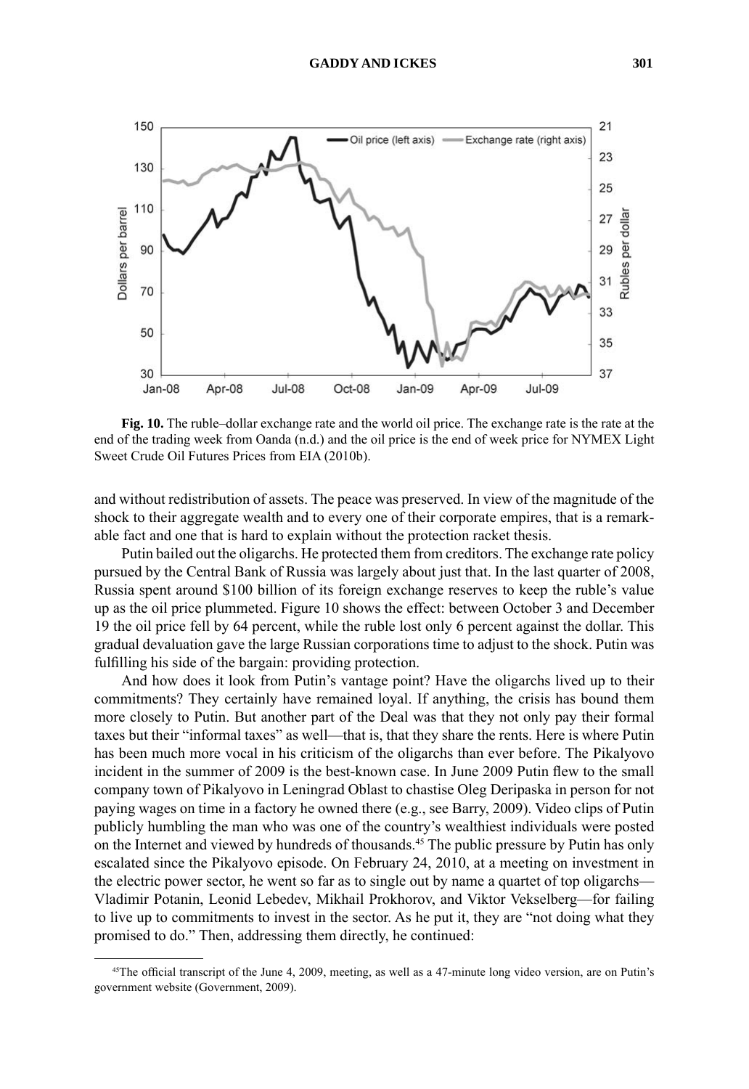

**Fig. 10.** The ruble–dollar exchange rate and the world oil price. The exchange rate is the rate at the end of the trading week from Oanda (n.d.) and the oil price is the end of week price for NYMEX Light Sweet Crude Oil Futures Prices from EIA (2010b).

and without redistribution of assets. The peace was preserved. In view of the magnitude of the shock to their aggregate wealth and to every one of their corporate empires, that is a remarkable fact and one that is hard to explain without the protection racket thesis.

Putin bailed out the oligarchs. He protected them from creditors. The exchange rate policy pursued by the Central Bank of Russia was largely about just that. In the last quarter of 2008, Russia spent around \$100 billion of its foreign exchange reserves to keep the ruble's value up as the oil price plummeted. Figure 10 shows the effect: between October 3 and December 19 the oil price fell by 64 percent, while the ruble lost only 6 percent against the dollar. This gradual devaluation gave the large Russian corporations time to adjust to the shock. Putin was fulfilling his side of the bargain: providing protection.

And how does it look from Putin's vantage point? Have the oligarchs lived up to their commitments? They certainly have remained loyal. If anything, the crisis has bound them more closely to Putin. But another part of the Deal was that they not only pay their formal taxes but their "informal taxes" as well—that is, that they share the rents. Here is where Putin has been much more vocal in his criticism of the oligarchs than ever before. The Pikalyovo incident in the summer of 2009 is the best-known case. In June 2009 Putin flew to the small company town of Pikalyovo in Leningrad Oblast to chastise Oleg Deripaska in person for not paying wages on time in a factory he owned there (e.g., see Barry, 2009). Video clips of Putin publicly humbling the man who was one of the country's wealthiest individuals were posted on the Internet and viewed by hundreds of thousands.<sup>45</sup> The public pressure by Putin has only escalated since the Pikalyovo episode. On February 24, 2010, at a meeting on investment in the electric power sector, he went so far as to single out by name a quartet of top oligarchs— Vladimir Potanin, Leonid Lebedev, Mikhail Prokhorov, and Viktor Vekselberg—for failing to live up to commitments to invest in the sector. As he put it, they are "not doing what they promised to do." Then, addressing them directly, he continued:

<sup>45</sup>The official transcript of the June 4, 2009, meeting, as well as a 47-minute long video version, are on Putin's government website (Government, 2009).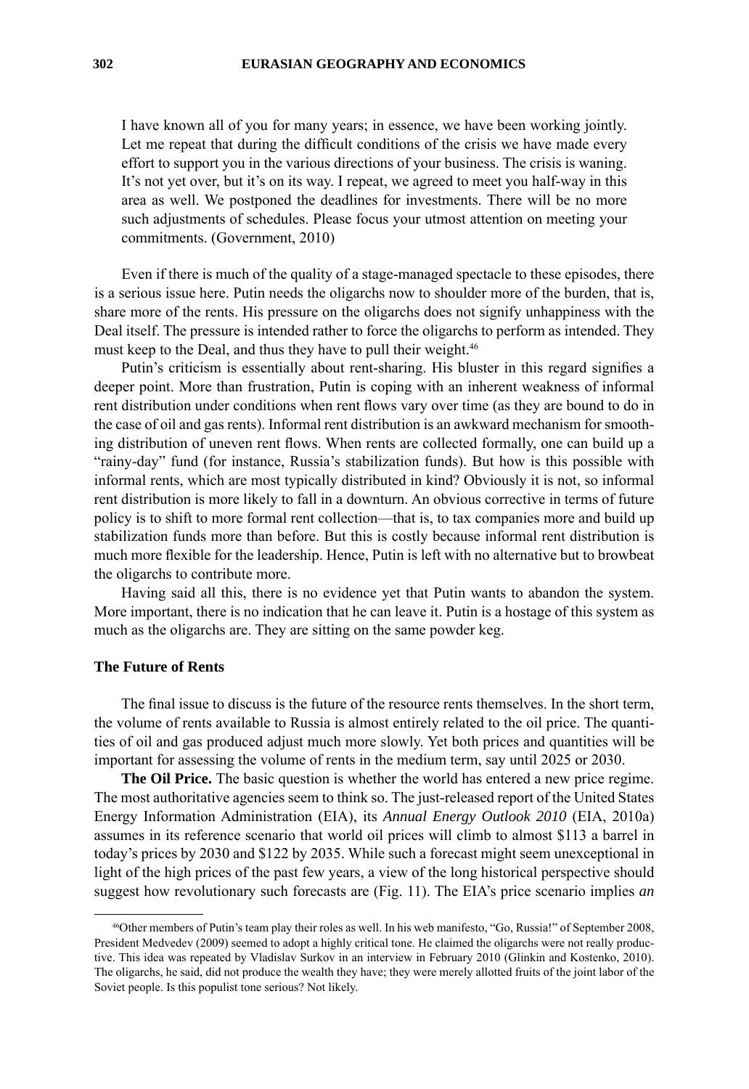I have known all of you for many years; in essence, we have been working jointly. Let me repeat that during the difficult conditions of the crisis we have made every effort to support you in the various directions of your business. The crisis is waning. It's not yet over, but it's on its way. I repeat, we agreed to meet you half-way in this area as well. We postponed the deadlines for investments. There will be no more such adjustments of schedules. Please focus your utmost attention on meeting your commitments. (Government, 2010)

Even if there is much of the quality of a stage-managed spectacle to these episodes, there is a serious issue here. Putin needs the oligarchs now to shoulder more of the burden, that is, share more of the rents. His pressure on the oligarchs does not signify unhappiness with the Deal itself. The pressure is intended rather to force the oligarchs to perform as intended. They must keep to the Deal, and thus they have to pull their weight.<sup>46</sup>

Putin's criticism is essentially about rent-sharing. His bluster in this regard signifies a deeper point. More than frustration, Putin is coping with an inherent weakness of informal rent distribution under conditions when rent flows vary over time (as they are bound to do in the case of oil and gas rents). Informal rent distribution is an awkward mechanism for smoothing distribution of uneven rent flows. When rents are collected formally, one can build up a "rainy-day" fund (for instance, Russia's stabilization funds). But how is this possible with informal rents, which are most typically distributed in kind? Obviously it is not, so informal rent distribution is more likely to fall in a downturn. An obvious corrective in terms of future policy is to shift to more formal rent collection—that is, to tax companies more and build up stabilization funds more than before. But this is costly because informal rent distribution is much more flexible for the leadership. Hence, Putin is left with no alternative but to browbeat the oligarchs to contribute more.

Having said all this, there is no evidence yet that Putin wants to abandon the system. More important, there is no indication that he can leave it. Putin is a hostage of this system as much as the oligarchs are. They are sitting on the same powder keg.

## **The Future of Rents**

The final issue to discuss is the future of the resource rents themselves. In the short term, the volume of rents available to Russia is almost entirely related to the oil price. The quantities of oil and gas produced adjust much more slowly. Yet both prices and quantities will be important for assessing the volume of rents in the medium term, say until 2025 or 2030.

**The Oil Price.** The basic question is whether the world has entered a new price regime. The most authoritative agencies seem to think so. The just-released report of the United States Energy Information Administration (EIA), its *Annual Energy Outlook 2010* (EIA, 2010a) assumes in its reference scenario that world oil prices will climb to almost \$113 a barrel in today's prices by 2030 and \$122 by 2035. While such a forecast might seem unexceptional in light of the high prices of the past few years, a view of the long historical perspective should suggest how revolutionary such forecasts are (Fig. 11). The EIA's price scenario implies *an* 

<sup>46</sup>Other members of Putin's team play their roles as well. In his web manifesto, "Go, Russia!" of September 2008, President Medvedev (2009) seemed to adopt a highly critical tone. He claimed the oligarchs were not really productive. This idea was repeated by Vladislav Surkov in an interview in February 2010 (Glinkin and Kostenko, 2010). The oligarchs, he said, did not produce the wealth they have; they were merely allotted fruits of the joint labor of the Soviet people. Is this populist tone serious? Not likely.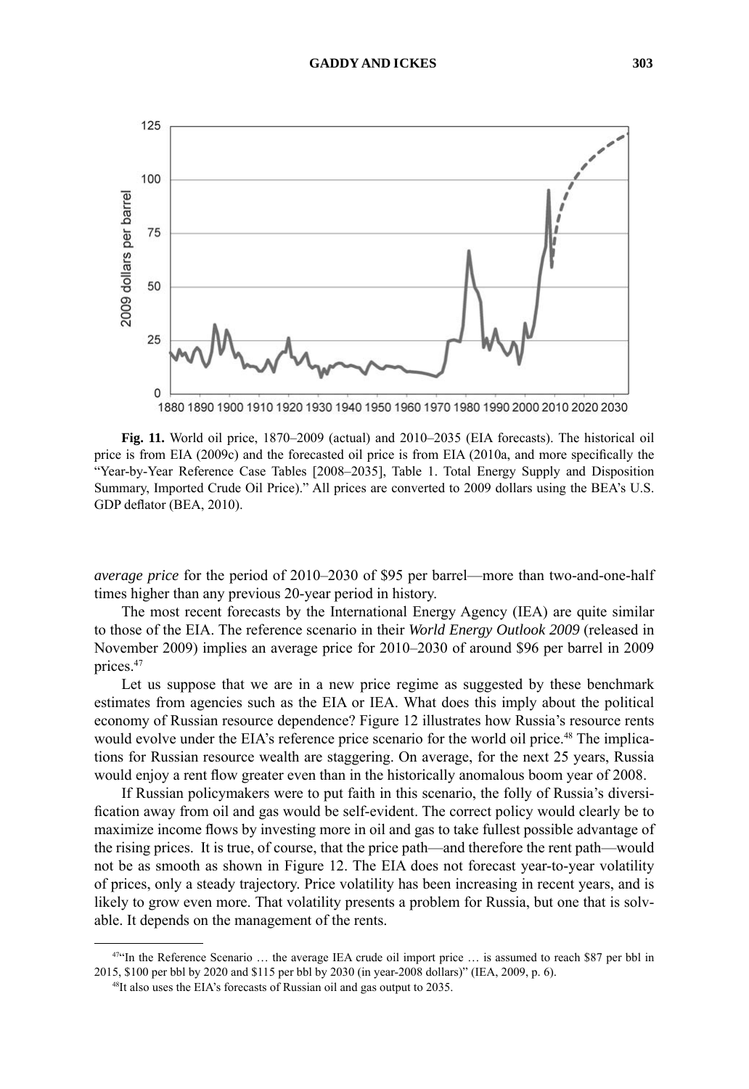

**Fig. 11.** World oil price, 1870–2009 (actual) and 2010–2035 (EIA forecasts). The historical oil price is from EIA (2009c) and the forecasted oil price is from EIA (2010a, and more specifically the "Year-by-Year Reference Case Tables [2008–2035], Table 1. Total Energy Supply and Disposition Summary, Imported Crude Oil Price)." All prices are converted to 2009 dollars using the BEA's U.S. GDP deflator (BEA, 2010).

*average price* for the period of 2010–2030 of \$95 per barrel—more than two-and-one-half times higher than any previous 20-year period in history.

The most recent forecasts by the International Energy Agency (IEA) are quite similar to those of the EIA. The reference scenario in their *World Energy Outlook 2009* (released in November 2009) implies an average price for 2010–2030 of around \$96 per barrel in 2009 prices.47

Let us suppose that we are in a new price regime as suggested by these benchmark estimates from agencies such as the EIA or IEA. What does this imply about the political economy of Russian resource dependence? Figure 12 illustrates how Russia's resource rents would evolve under the EIA's reference price scenario for the world oil price.<sup>48</sup> The implications for Russian resource wealth are staggering. On average, for the next 25 years, Russia would enjoy a rent flow greater even than in the historically anomalous boom year of 2008.

If Russian policymakers were to put faith in this scenario, the folly of Russia's diversification away from oil and gas would be self-evident. The correct policy would clearly be to maximize income flows by investing more in oil and gas to take fullest possible advantage of the rising prices. It is true, of course, that the price path—and therefore the rent path—would not be as smooth as shown in Figure 12. The EIA does not forecast year-to-year volatility of prices, only a steady trajectory. Price volatility has been increasing in recent years, and is likely to grow even more. That volatility presents a problem for Russia, but one that is solvable. It depends on the management of the rents.

<sup>&</sup>lt;sup>47"</sup>In the Reference Scenario ... the average IEA crude oil import price ... is assumed to reach \$87 per bbl in 2015, \$100 per bbl by 2020 and \$115 per bbl by 2030 (in year-2008 dollars)" (IEA, 2009, p. 6).

<sup>48</sup>It also uses the EIA's forecasts of Russian oil and gas output to 2035.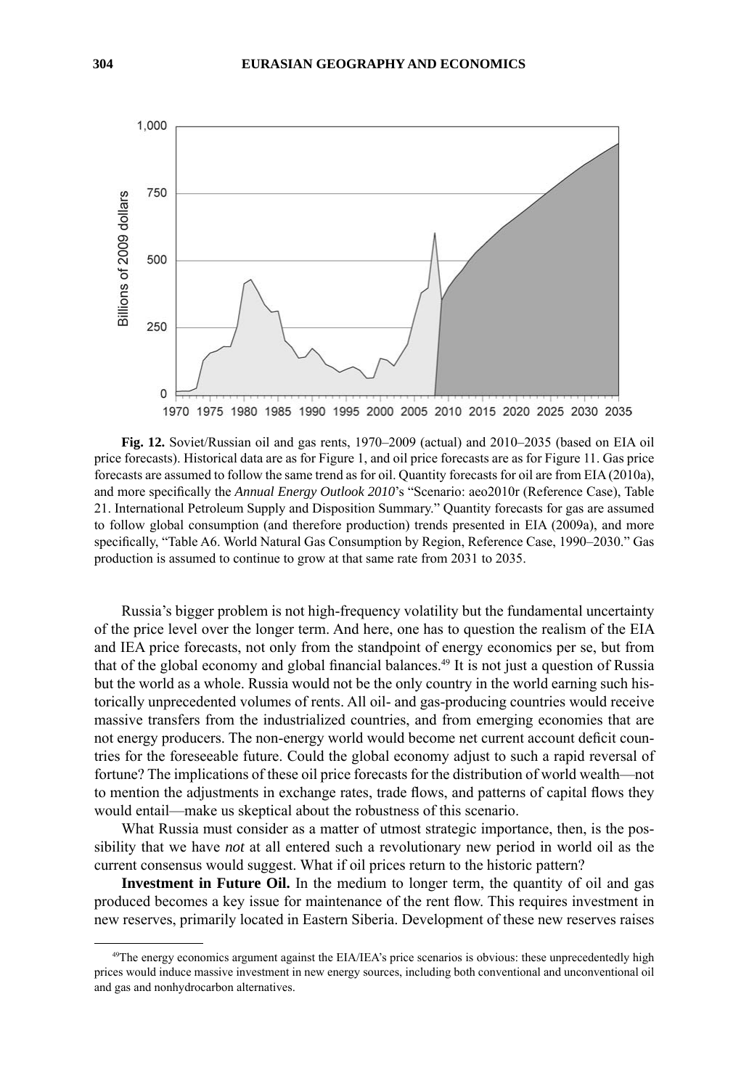

**Fig. 12.** Soviet/Russian oil and gas rents, 1970–2009 (actual) and 2010–2035 (based on EIA oil price forecasts). Historical data are as for Figure 1, and oil price forecasts are as for Figure 11. Gas price forecasts are assumed to follow the same trend as for oil. Quantity forecasts for oil are from EIA (2010a), and more specifically the *Annual Energy Outlook 2010*'s "Scenario: aeo2010r (Reference Case), Table 21. International Petroleum Supply and Disposition Summary." Quantity forecasts for gas are assumed to follow global consumption (and therefore production) trends presented in EIA (2009a), and more specifically, "Table A6. World Natural Gas Consumption by Region, Reference Case, 1990–2030." Gas production is assumed to continue to grow at that same rate from 2031 to 2035.

Russia's bigger problem is not high-frequency volatility but the fundamental uncertainty of the price level over the longer term. And here, one has to question the realism of the EIA and IEA price forecasts, not only from the standpoint of energy economics per se, but from that of the global economy and global financial balances.49 It is not just a question of Russia but the world as a whole. Russia would not be the only country in the world earning such historically unprecedented volumes of rents. All oil- and gas-producing countries would receive massive transfers from the industrialized countries, and from emerging economies that are not energy producers. The non-energy world would become net current account deficit countries for the foreseeable future. Could the global economy adjust to such a rapid reversal of fortune? The implications of these oil price forecasts for the distribution of world wealth—not to mention the adjustments in exchange rates, trade flows, and patterns of capital flows they would entail—make us skeptical about the robustness of this scenario.

What Russia must consider as a matter of utmost strategic importance, then, is the possibility that we have *not* at all entered such a revolutionary new period in world oil as the current consensus would suggest. What if oil prices return to the historic pattern?

**Investment in Future Oil.** In the medium to longer term, the quantity of oil and gas produced becomes a key issue for maintenance of the rent flow. This requires investment in new reserves, primarily located in Eastern Siberia. Development of these new reserves raises

<sup>&</sup>lt;sup>49</sup>The energy economics argument against the EIA/IEA's price scenarios is obvious: these unprecedentedly high prices would induce massive investment in new energy sources, including both conventional and unconventional oil and gas and nonhydrocarbon alternatives.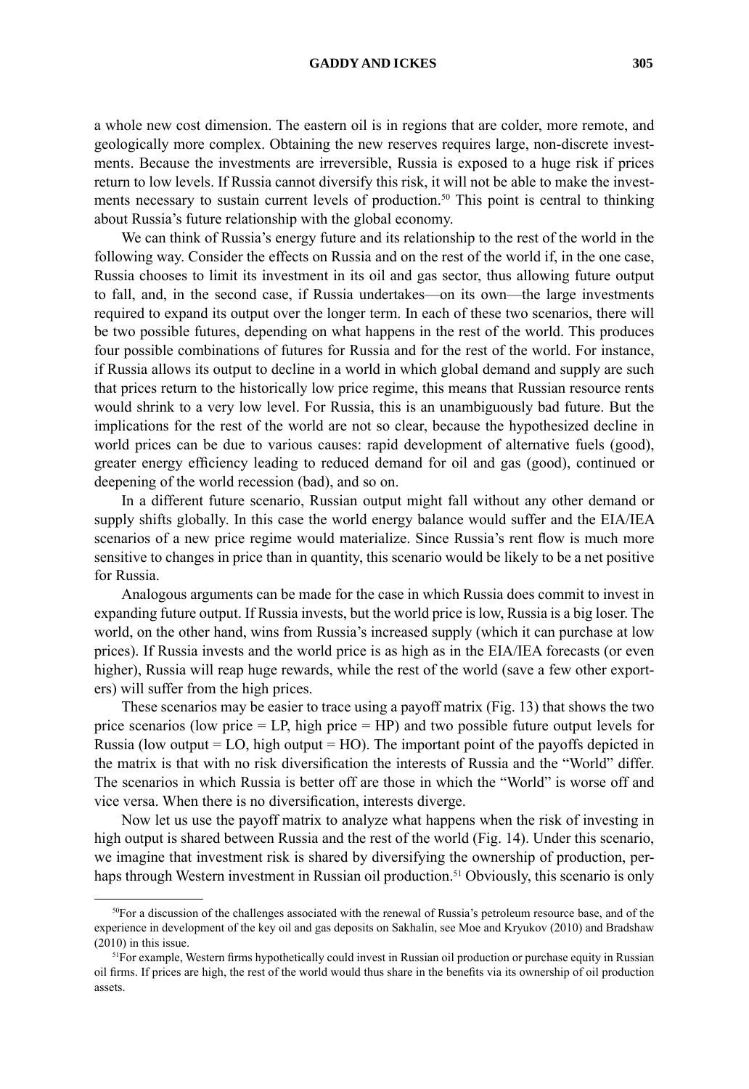#### **GADDY AND ICKES 305**

a whole new cost dimension. The eastern oil is in regions that are colder, more remote, and geologically more complex. Obtaining the new reserves requires large, non-discrete investments. Because the investments are irreversible, Russia is exposed to a huge risk if prices return to low levels. If Russia cannot diversify this risk, it will not be able to make the investments necessary to sustain current levels of production.<sup>50</sup> This point is central to thinking about Russia's future relationship with the global economy.

We can think of Russia's energy future and its relationship to the rest of the world in the following way. Consider the effects on Russia and on the rest of the world if, in the one case, Russia chooses to limit its investment in its oil and gas sector, thus allowing future output to fall, and, in the second case, if Russia undertakes—on its own—the large investments required to expand its output over the longer term. In each of these two scenarios, there will be two possible futures, depending on what happens in the rest of the world. This produces four possible combinations of futures for Russia and for the rest of the world. For instance, if Russia allows its output to decline in a world in which global demand and supply are such that prices return to the historically low price regime, this means that Russian resource rents would shrink to a very low level. For Russia, this is an unambiguously bad future. But the implications for the rest of the world are not so clear, because the hypothesized decline in world prices can be due to various causes: rapid development of alternative fuels (good), greater energy efficiency leading to reduced demand for oil and gas (good), continued or deepening of the world recession (bad), and so on.

In a different future scenario, Russian output might fall without any other demand or supply shifts globally. In this case the world energy balance would suffer and the EIA/IEA scenarios of a new price regime would materialize. Since Russia's rent flow is much more sensitive to changes in price than in quantity, this scenario would be likely to be a net positive for Russia.

Analogous arguments can be made for the case in which Russia does commit to invest in expanding future output. If Russia invests, but the world price is low, Russia is a big loser. The world, on the other hand, wins from Russia's increased supply (which it can purchase at low prices). If Russia invests and the world price is as high as in the EIA/IEA forecasts (or even higher), Russia will reap huge rewards, while the rest of the world (save a few other exporters) will suffer from the high prices.

These scenarios may be easier to trace using a payoff matrix (Fig. 13) that shows the two price scenarios (low price  $=$  LP, high price  $=$  HP) and two possible future output levels for Russia (low output  $=$  LO, high output  $=$  HO). The important point of the payoffs depicted in the matrix is that with no risk diversification the interests of Russia and the "World" differ. The scenarios in which Russia is better off are those in which the "World" is worse off and vice versa. When there is no diversification, interests diverge.

Now let us use the payoff matrix to analyze what happens when the risk of investing in high output is shared between Russia and the rest of the world (Fig. 14). Under this scenario, we imagine that investment risk is shared by diversifying the ownership of production, perhaps through Western investment in Russian oil production.<sup>51</sup> Obviously, this scenario is only

<sup>50</sup>For a discussion of the challenges associated with the renewal of Russia's petroleum resource base, and of the experience in development of the key oil and gas deposits on Sakhalin, see Moe and Kryukov (2010) and Bradshaw (2010) in this issue.

<sup>51</sup>For example, Western firms hypothetically could invest in Russian oil production or purchase equity in Russian oil firms. If prices are high, the rest of the world would thus share in the benefits via its ownership of oil production assets.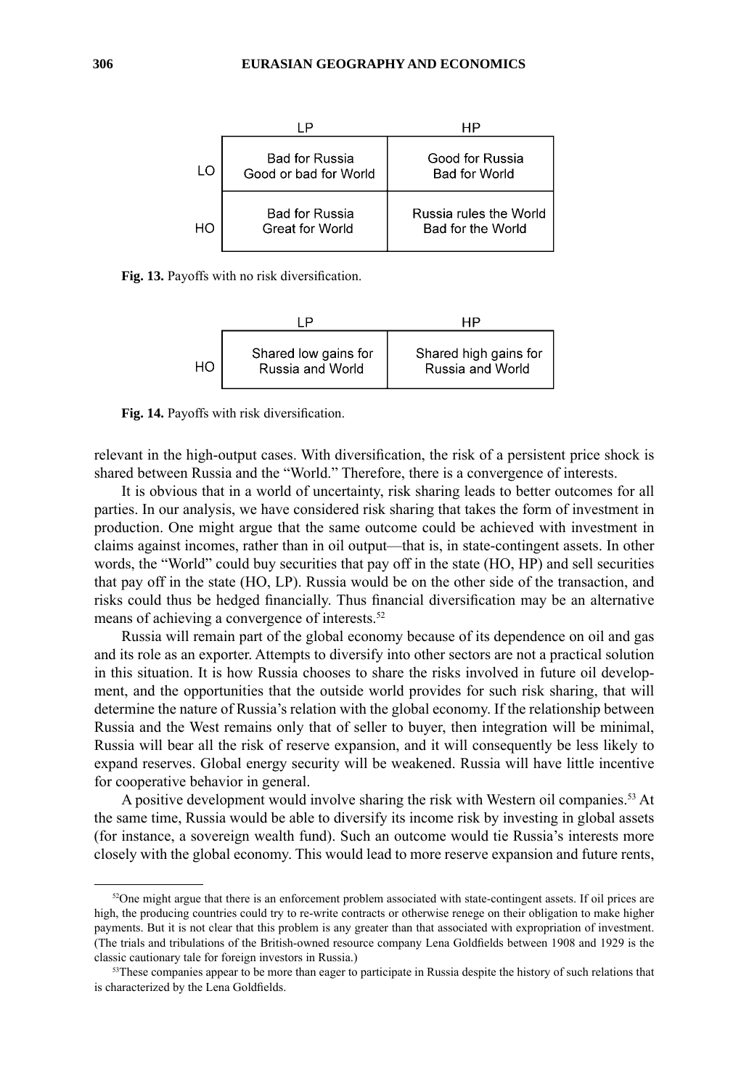

**Fig. 13.** Payoffs with no risk diversification.



**Fig. 14.** Payoffs with risk diversification.

relevant in the high-output cases. With diversification, the risk of a persistent price shock is shared between Russia and the "World." Therefore, there is a convergence of interests.

It is obvious that in a world of uncertainty, risk sharing leads to better outcomes for all parties. In our analysis, we have considered risk sharing that takes the form of investment in production. One might argue that the same outcome could be achieved with investment in claims against incomes, rather than in oil output—that is, in state-contingent assets. In other words, the "World" could buy securities that pay off in the state (HO, HP) and sell securities that pay off in the state (HO, LP). Russia would be on the other side of the transaction, and risks could thus be hedged financially. Thus financial diversification may be an alternative means of achieving a convergence of interests.52

Russia will remain part of the global economy because of its dependence on oil and gas and its role as an exporter. Attempts to diversify into other sectors are not a practical solution in this situation. It is how Russia chooses to share the risks involved in future oil development, and the opportunities that the outside world provides for such risk sharing, that will determine the nature of Russia's relation with the global economy. If the relationship between Russia and the West remains only that of seller to buyer, then integration will be minimal, Russia will bear all the risk of reserve expansion, and it will consequently be less likely to expand reserves. Global energy security will be weakened. Russia will have little incentive for cooperative behavior in general.

A positive development would involve sharing the risk with Western oil companies.53 At the same time, Russia would be able to diversify its income risk by investing in global assets (for instance, a sovereign wealth fund). Such an outcome would tie Russia's interests more closely with the global economy. This would lead to more reserve expansion and future rents,

<sup>&</sup>lt;sup>52</sup>One might argue that there is an enforcement problem associated with state-contingent assets. If oil prices are high, the producing countries could try to re-write contracts or otherwise renege on their obligation to make higher payments. But it is not clear that this problem is any greater than that associated with expropriation of investment. (The trials and tribulations of the British-owned resource company Lena Goldfields between 1908 and 1929 is the classic cautionary tale for foreign investors in Russia.)

<sup>&</sup>lt;sup>53</sup>These companies appear to be more than eager to participate in Russia despite the history of such relations that is characterized by the Lena Goldfields.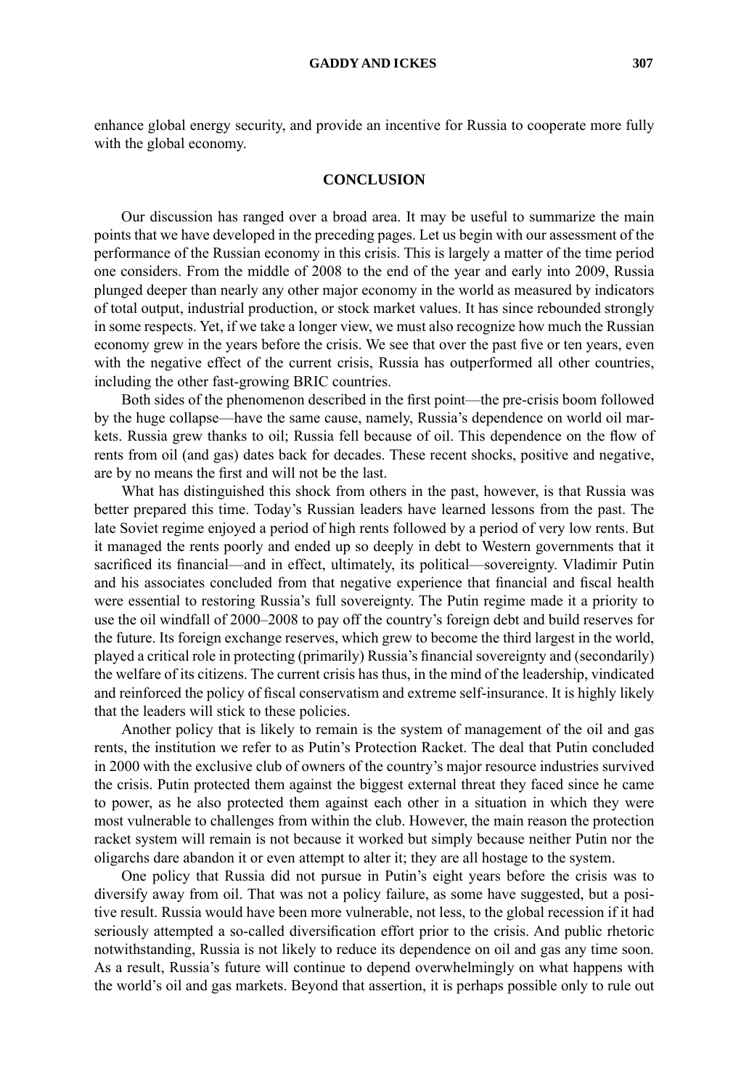#### **CONCLUSION**

Our discussion has ranged over a broad area. It may be useful to summarize the main points that we have developed in the preceding pages. Let us begin with our assessment of the performance of the Russian economy in this crisis. This is largely a matter of the time period one considers. From the middle of 2008 to the end of the year and early into 2009, Russia plunged deeper than nearly any other major economy in the world as measured by indicators of total output, industrial production, or stock market values. It has since rebounded strongly in some respects. Yet, if we take a longer view, we must also recognize how much the Russian economy grew in the years before the crisis. We see that over the past five or ten years, even with the negative effect of the current crisis, Russia has outperformed all other countries, including the other fast-growing BRIC countries.

Both sides of the phenomenon described in the first point—the pre-crisis boom followed by the huge collapse—have the same cause, namely, Russia's dependence on world oil markets. Russia grew thanks to oil; Russia fell because of oil. This dependence on the flow of rents from oil (and gas) dates back for decades. These recent shocks, positive and negative, are by no means the first and will not be the last.

What has distinguished this shock from others in the past, however, is that Russia was better prepared this time. Today's Russian leaders have learned lessons from the past. The late Soviet regime enjoyed a period of high rents followed by a period of very low rents. But it managed the rents poorly and ended up so deeply in debt to Western governments that it sacrificed its financial—and in effect, ultimately, its political—sovereignty. Vladimir Putin and his associates concluded from that negative experience that financial and fiscal health were essential to restoring Russia's full sovereignty. The Putin regime made it a priority to use the oil windfall of 2000–2008 to pay off the country's foreign debt and build reserves for the future. Its foreign exchange reserves, which grew to become the third largest in the world, played a critical role in protecting (primarily) Russia's financial sovereignty and (secondarily) the welfare of its citizens. The current crisis has thus, in the mind of the leadership, vindicated and reinforced the policy of fiscal conservatism and extreme self-insurance. It is highly likely that the leaders will stick to these policies.

Another policy that is likely to remain is the system of management of the oil and gas rents, the institution we refer to as Putin's Protection Racket. The deal that Putin concluded in 2000 with the exclusive club of owners of the country's major resource industries survived the crisis. Putin protected them against the biggest external threat they faced since he came to power, as he also protected them against each other in a situation in which they were most vulnerable to challenges from within the club. However, the main reason the protection racket system will remain is not because it worked but simply because neither Putin nor the oligarchs dare abandon it or even attempt to alter it; they are all hostage to the system.

One policy that Russia did not pursue in Putin's eight years before the crisis was to diversify away from oil. That was not a policy failure, as some have suggested, but a positive result. Russia would have been more vulnerable, not less, to the global recession if it had seriously attempted a so-called diversification effort prior to the crisis. And public rhetoric notwithstanding, Russia is not likely to reduce its dependence on oil and gas any time soon. As a result, Russia's future will continue to depend overwhelmingly on what happens with the world's oil and gas markets. Beyond that assertion, it is perhaps possible only to rule out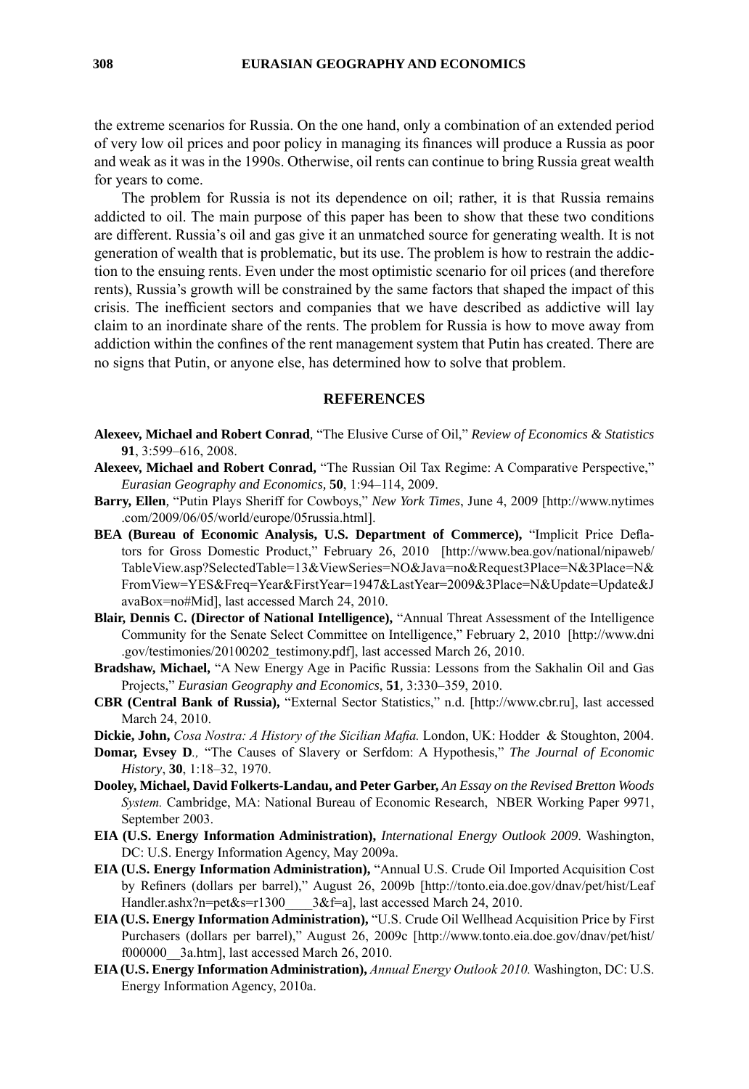the extreme scenarios for Russia. On the one hand, only a combination of an extended period of very low oil prices and poor policy in managing its finances will produce a Russia as poor and weak as it was in the 1990s. Otherwise, oil rents can continue to bring Russia great wealth for years to come.

The problem for Russia is not its dependence on oil; rather, it is that Russia remains addicted to oil. The main purpose of this paper has been to show that these two conditions are different. Russia's oil and gas give it an unmatched source for generating wealth. It is not generation of wealth that is problematic, but its use. The problem is how to restrain the addiction to the ensuing rents. Even under the most optimistic scenario for oil prices (and therefore rents), Russia's growth will be constrained by the same factors that shaped the impact of this crisis. The inefficient sectors and companies that we have described as addictive will lay claim to an inordinate share of the rents. The problem for Russia is how to move away from addiction within the confines of the rent management system that Putin has created. There are no signs that Putin, or anyone else, has determined how to solve that problem.

#### **REFERENCES**

- **Alexeev, Michael and Robert Conrad***,* "The Elusive Curse of Oil," *Review of Economics & Statistics*  **91**, 3:599–616, 2008.
- **Alexeev, Michael and Robert Conrad,** "The Russian Oil Tax Regime: A Comparative Perspective," *Eurasian Geography and Economics,* **50**, 1:94–114, 2009.
- **Barry, Ellen***,* "Putin Plays Sheriff for Cowboys," *New York Times*, June 4, 2009 [http://www.nytimes .com/2009/06/05/world/europe/05russia.html].
- **BEA (Bureau of Economic Analysis, U.S. Department of Commerce),** "Implicit Price Deflators for Gross Domestic Product," February 26, 2010 [http://www.bea.gov/national/nipaweb/ TableView.asp?SelectedTable=13&ViewSeries=NO&Java=no&Request3Place=N&3Place=N& FromView=YES&Freq=Year&FirstYear=1947&LastYear=2009&3Place=N&Update=Update&J avaBox=no#Mid], last accessed March 24, 2010.
- **Blair, Dennis C. (Director of National Intelligence),** "Annual Threat Assessment of the Intelligence Community for the Senate Select Committee on Intelligence," February 2, 2010 [http://www.dni .gov/testimonies/20100202\_testimony.pdf], last accessed March 26, 2010.
- **Bradshaw, Michael,** "A New Energy Age in Pacific Russia: Lessons from the Sakhalin Oil and Gas Projects," *Eurasian Geography and Economics*, **51***,* 3:330–359, 2010.
- **CBR (Central Bank of Russia),** "External Sector Statistics," n.d. [http://www.cbr.ru], last accessed March 24, 2010.
- **Dickie, John,** *Cosa Nostra: A History of the Sicilian Mafia.* London, UK: Hodder & Stoughton, 2004.
- **Domar, Evsey D***.,* "The Causes of Slavery or Serfdom: A Hypothesis," *The Journal of Economic History*, **30**, 1:18–32, 1970.
- **Dooley, Michael, David Folkerts-Landau, and Peter Garber,** *An Essay on the Revised Bretton Woods System.* Cambridge, MA: National Bureau of Economic Research, NBER Working Paper 9971, September 2003.
- **EIA (U.S. Energy Information Administration),** *International Energy Outlook 2009*. Washington, DC: U.S. Energy Information Agency, May 2009a.
- **EIA (U.S. Energy Information Administration),** "Annual U.S. Crude Oil Imported Acquisition Cost by Refiners (dollars per barrel)," August 26, 2009b [http://tonto.eia.doe.gov/dnav/pet/hist/Leaf Handler.ashx?n=pet&s=r1300 \_\_\_\_3&f=a], last accessed March 24, 2010.
- **EIA (U.S. Energy Information Administration),** "U.S. Crude Oil Wellhead Acquisition Price by First Purchasers (dollars per barrel)," August 26, 2009c [http://www.tonto.eia.doe.gov/dnav/pet/hist/ f000000\_\_3a.htm], last accessed March 26, 2010.
- **EIA (U.S. Energy Information Administration),** *Annual Energy Outlook 2010.* Washington, DC: U.S. Energy Information Agency, 2010a.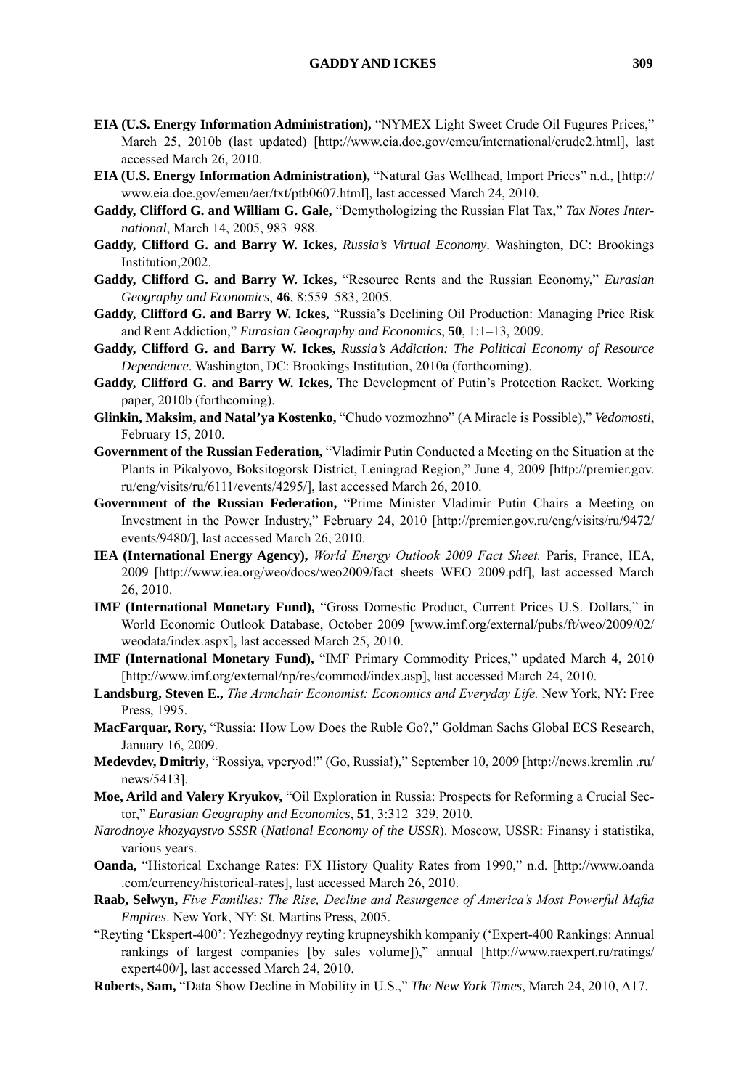- **EIA (U.S. Energy Information Administration),** "NYMEX Light Sweet Crude Oil Fugures Prices," March 25, 2010b (last updated) [http://www.eia.doe.gov/emeu/international/crude2.html], last accessed March 26, 2010.
- **EIA (U.S. Energy Information Administration),** "Natural Gas Wellhead, Import Prices" n.d., [http:// www.eia.doe.gov/emeu/aer/txt/ptb0607.html], last accessed March 24, 2010.
- **Gaddy, Clifford G. and William G. Gale,** "Demythologizing the Russian Flat Tax," *Tax Notes International*, March 14, 2005, 983–988.
- **Gaddy, Clifford G. and Barry W. Ickes,** *Russia's Virtual Economy*. Washington, DC: Brookings Institution, 2002.
- **Gaddy, Clifford G. and Barry W. Ickes,** "Resource Rents and the Russian Economy," *Eurasian Geography and Economics*, **46**, 8:559–583, 2005.
- **Gaddy, Clifford G. and Barry W. Ickes,** "Russia's Declining Oil Production: Managing Price Risk and Rent Addiction," *Eurasian Geography and Economics*, **50**, 1:1–13, 2009.
- **Gaddy, Clifford G. and Barry W. Ickes,** *Russia's Addiction: The Political Economy of Resource Dependence*. Washington, DC: Brookings Institution, 2010a (forthcoming).
- **Gaddy, Clifford G. and Barry W. Ickes,** The Development of Putin's Protection Racket. Working paper, 2010b (forthcoming).
- **Glinkin, Maksim, and Natal'ya Kostenko,** "Chudo vozmozhno" (A Miracle is Possible)," *Vedomosti*, February 15, 2010.
- **Government of the Russian Federation,** "Vladimir Putin Conducted a Meeting on the Situation at the Plants in Pikalyovo, Boksitogorsk District, Leningrad Region," June 4, 2009 [http://premier.gov. ru/eng/visits/ru/6111/events/4295/], last accessed March 26, 2010.
- **Government of the Russian Federation,** "Prime Minister Vladimir Putin Chairs a Meeting on Investment in the Power Industry," February 24, 2010 [http://premier.gov.ru/eng/visits/ru/9472/ events/9480/], last accessed March 26, 2010.
- **IEA (International Energy Agency),** *World Energy Outlook 2009 Fact Sheet.* Paris, France, IEA, 2009 [http://www.iea.org/weo/docs/weo2009/fact\_sheets\_WEO\_2009.pdf], last accessed March 26, 2010.
- **IMF (International Monetary Fund),** "Gross Domestic Product, Current Prices U.S. Dollars," in World Economic Outlook Database, October 2009 [www.imf.org/external/pubs/ft/weo/2009/02/ weodata/index.aspx], last accessed March 25, 2010.
- **IMF (International Monetary Fund),** "IMF Primary Commodity Prices," updated March 4, 2010 [http://www.imf.org/external/np/res/commod/index.asp], last accessed March 24, 2010.
- **Landsburg, Steven E.,** *The Armchair Economist: Economics and Everyday Life.* New York, NY: Free Press, 1995.
- **MacFarquar, Rory,** "Russia: How Low Does the Ruble Go?," Goldman Sachs Global ECS Research, January 16, 2009.
- **Medevdev, Dmitriy***,* "Rossiya, vperyod!" (Go, Russia!)," September 10, 2009 [http://news.kremlin .ru/ news/5413].
- **Moe, Arild and Valery Kryukov,** "Oil Exploration in Russia: Prospects for Reforming a Crucial Sector," *Eurasian Geography and Economics*, **51***,* 3:312–329, 2010.
- *Narodnoye khozyaystvo SSSR* (*National Economy of the USSR*). Moscow, USSR: Finansy i statistika, various years.
- **Oanda,** "Historical Exchange Rates: FX History Quality Rates from 1990," n.d. [http://www.oanda .com/currency/historical-rates], last accessed March 26, 2010.
- **Raab, Selwyn,** *Five Families: The Rise, Decline and Resurgence of America's Most Powerful Mafia Empires*. New York, NY: St. Martins Press, 2005.
- "Reyting 'Ekspert-400': Yezhegodnyy reyting krupneyshikh kompaniy ('Expert-400 Rankings: Annual rankings of largest companies [by sales volume])," annual [http://www.raexpert.ru/ratings/ expert400/], last accessed March 24, 2010.
- **Roberts, Sam,** "Data Show Decline in Mobility in U.S.," *The New York Times*, March 24, 2010, A17.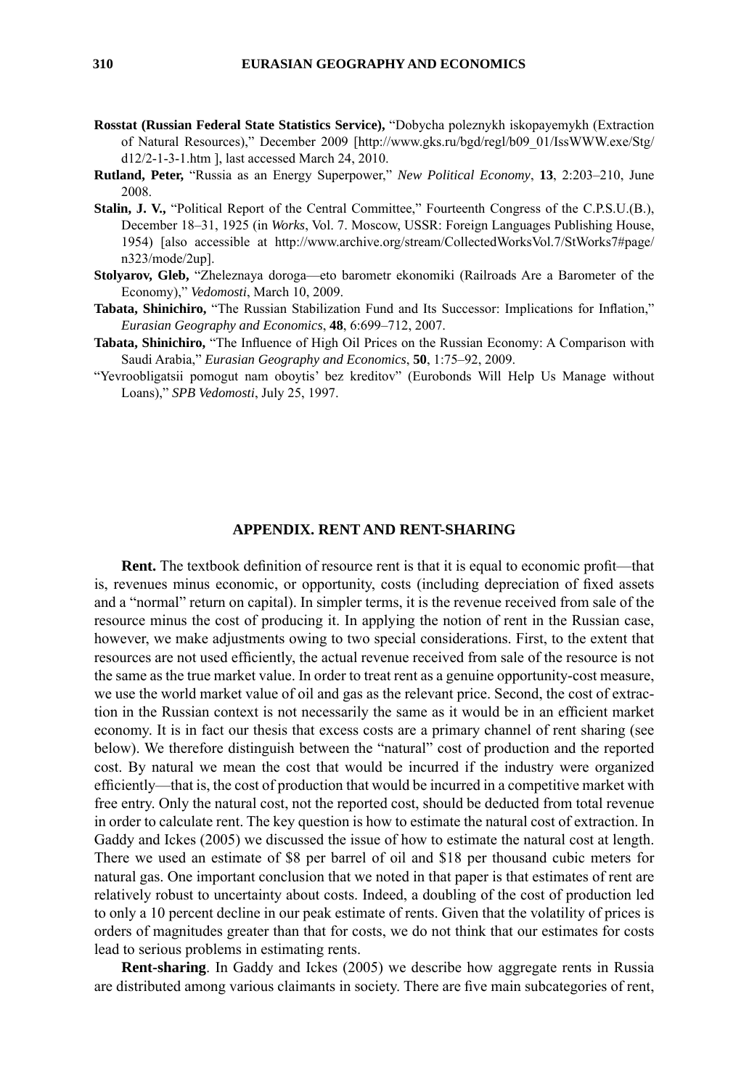- **Rosstat (Russian Federal State Statistics Service),** "Dobycha poleznykh iskopayemykh (Extraction of Natural Resources)," December 2009 [http://www.gks.ru/bgd/regl/b09\_01/IssWWW.exe/Stg/ d12/2-1-3-1.htm ], last accessed March 24, 2010.
- **Rutland, Peter,** "Russia as an Energy Superpower," *New Political Economy*, **13**, 2:203–210, June 2008.
- **Stalin, J. V.,** "Political Report of the Central Committee," Fourteenth Congress of the C.P.S.U.(B.), December 18–31, 1925 (in *Works*, Vol. 7. Moscow, USSR: Foreign Languages Publishing House, 1954) [also accessible at http://www.archive.org/stream/CollectedWorksVol.7/StWorks7#page/ n323/mode/2up].
- **Stolyarov, Gleb,** "Zheleznaya doroga—eto barometr ekonomiki (Railroads Are a Barometer of the Economy)," *Vedomosti*, March 10, 2009.
- **Tabata, Shinichiro,** "The Russian Stabilization Fund and Its Successor: Implications for Inflation," *Eurasian Geography and Economics*, **48**, 6:699–712, 2007.
- **Tabata, Shinichiro,** "The Influence of High Oil Prices on the Russian Economy: A Comparison with Saudi Arabia," *Eurasian Geography and Economics*, **50**, 1:75–92, 2009.
- "Yevroobligatsii pomogut nam oboytis' bez kreditov" (Eurobonds Will Help Us Manage without Loans)," *SPB Vedomosti*, July 25, 1997.

## **APPENDIX. RENT AND RENT-SHARING**

**Rent.** The textbook definition of resource rent is that it is equal to economic profit—that is, revenues minus economic, or opportunity, costs (including depreciation of fixed assets and a "normal" return on capital). In simpler terms, it is the revenue received from sale of the resource minus the cost of producing it. In applying the notion of rent in the Russian case, however, we make adjustments owing to two special considerations. First, to the extent that resources are not used efficiently, the actual revenue received from sale of the resource is not the same as the true market value. In order to treat rent as a genuine opportunity-cost measure, we use the world market value of oil and gas as the relevant price. Second, the cost of extraction in the Russian context is not necessarily the same as it would be in an efficient market economy. It is in fact our thesis that excess costs are a primary channel of rent sharing (see below). We therefore distinguish between the "natural" cost of production and the reported cost. By natural we mean the cost that would be incurred if the industry were organized efficiently—that is, the cost of production that would be incurred in a competitive market with free entry. Only the natural cost, not the reported cost, should be deducted from total revenue in order to calculate rent. The key question is how to estimate the natural cost of extraction. In Gaddy and Ickes (2005) we discussed the issue of how to estimate the natural cost at length. There we used an estimate of \$8 per barrel of oil and \$18 per thousand cubic meters for natural gas. One important conclusion that we noted in that paper is that estimates of rent are relatively robust to uncertainty about costs. Indeed, a doubling of the cost of production led to only a 10 percent decline in our peak estimate of rents. Given that the volatility of prices is orders of magnitudes greater than that for costs, we do not think that our estimates for costs lead to serious problems in estimating rents.

**Rent-sharing**. In Gaddy and Ickes (2005) we describe how aggregate rents in Russia are distributed among various claimants in society. There are five main subcategories of rent,